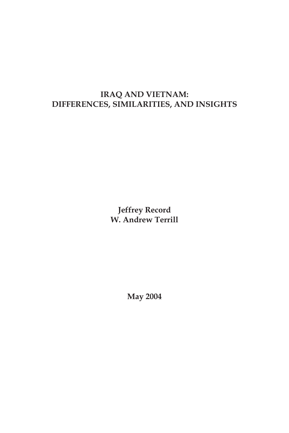# **IRAQ AND VIETNAM: DIFFERENCES, SIMILARITIES, AND INSIGHTS**

**Jeffrey Record W. Andrew Terrill**

**May 2004**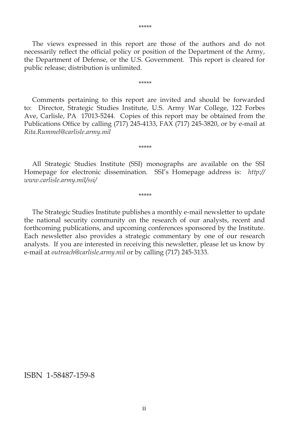The views expressed in this report are those of the authors and do not necessarily reflect the official policy or position of the Department of the Army, the Department of Defense, or the U.S. Government. This report is cleared for public release; distribution is unlimited.

\*\*\*\*\*

Comments pertaining to this report are invited and should be forwarded to: Director, Strategic Studies Institute, U.S. Army War College, 122 Forbes Ave, Carlisle, PA 17013-5244. Copies of this report may be obtained from the Publications Office by calling  $(717)$  245-4133, FAX  $(717)$  245-3820, or by e-mail at *Rita.Rummel@carlisle.army.mil*

All Strategic Studies Institute (SSI) monographs are available on the SSI Homepage for electronic dissemination. SSI's Homepage address is: *http:// www.carlisle.army.mil/ssi/*

\*\*\*\*\*

\*\*\*\*\*

The Strategic Studies Institute publishes a monthly e-mail newsletter to update the national security community on the research of our analysts, recent and forthcoming publications, and upcoming conferences sponsored by the Institute. Each newsletter also provides a strategic commentary by one of our research analysts. If you are interested in receiving this newsletter, please let us know by e-mail at *outreach@carlisle.army.mil* or by calling (717) 245-3133.

ISBN 1-58487-159-8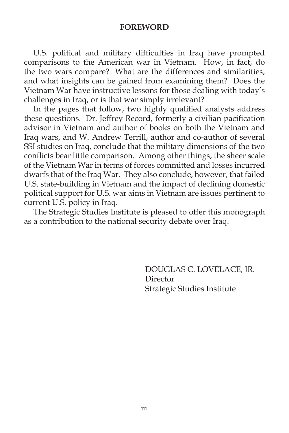#### **FOREWORD**

U.S. political and military difficulties in Iraq have prompted comparisons to the American war in Vietnam. How, in fact, do the two wars compare? What are the differences and similarities, and what insights can be gained from examining them? Does the Vietnam War have instructive lessons for those dealing with today's challenges in Iraq, or is that war simply irrelevant?

In the pages that follow, two highly qualified analysts address these questions. Dr. Jeffrey Record, formerly a civilian pacification advisor in Vietnam and author of books on both the Vietnam and Iraq wars, and W. Andrew Terrill, author and co-author of several SSI studies on Iraq, conclude that the military dimensions of the two conflicts bear little comparison. Among other things, the sheer scale of the Vietnam War in terms of forces committed and losses incurred dwarfs that of the Iraq War. They also conclude, however, that failed U.S. state-building in Vietnam and the impact of declining domestic political support for U.S. war aims in Vietnam are issues pertinent to current U.S. policy in Iraq.

The Strategic Studies Institute is pleased to offer this monograph as a contribution to the national security debate over Iraq.

> DOUGLAS C. LOVELACE, JR. Director Strategic Studies Institute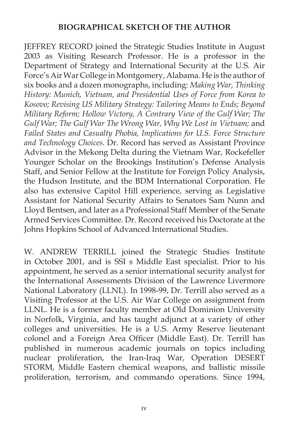## **BIOGRAPHICAL SKETCH OF THE AUTHOR**

JEFFREY RECORD joined the Strategic Studies Institute in August 2003 as Visiting Research Professor. He is a professor in the Department of Strategy and International Security at the U.S. Air Force's Air War College in Montgomery, Alabama. He is the author of six books and a dozen monographs, including: *Making War, Thinking History: Munich, Vietnam, and Presidential Uses of Force from Korea to Kosovo; Revising US Military Strategy: Tailoring Means to Ends; Beyond Military Reform; Hollow Victory, A Contrary View of the Gulf War; The*  Gulf War; The Gulf War The Wrong War, Why We Lost in Vietnam; and *Failed States and Casualty Phobia, Implications for U.S. Force Structure and Technology Choices*. Dr. Record has served as Assistant Province Advisor in the Mekong Delta during the Vietnam War, Rockefeller Younger Scholar on the Brookings Institution's Defense Analysis Staff, and Senior Fellow at the Institute for Foreign Policy Analysis, the Hudson Institute, and the BDM International Corporation. He also has extensive Capitol Hill experience, serving as Legislative Assistant for National Security Affairs to Senators Sam Nunn and Lloyd Bentsen, and later as a Professional Staff Member of the Senate Armed Services Committee. Dr. Record received his Doctorate at the Johns Hopkins School of Advanced International Studies.

W. ANDREW TERRILL joined the Strategic Studies Institute in October 2001, and is SSI s Middle East specialist. Prior to his appointment, he served as a senior international security analyst for the International Assessments Division of the Lawrence Livermore National Laboratory (LLNL). In 1998-99, Dr. Terrill also served as a Visiting Professor at the U.S. Air War College on assignment from LLNL. He is a former faculty member at Old Dominion University in Norfolk, Virginia, and has taught adjunct at a variety of other colleges and universities. He is a U.S. Army Reserve lieutenant colonel and a Foreign Area Officer (Middle East). Dr. Terrill has published in numerous academic journals on topics including nuclear proliferation, the Iran-Iraq War, Operation DESERT STORM, Middle Eastern chemical weapons, and ballistic missile proliferation, terrorism, and commando operations. Since 1994,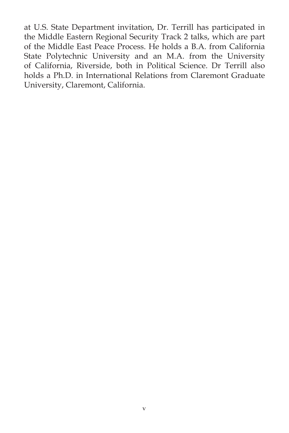at U.S. State Department invitation, Dr. Terrill has participated in the Middle Eastern Regional Security Track 2 talks, which are part of the Middle East Peace Process. He holds a B.A. from California State Polytechnic University and an M.A. from the University of California, Riverside, both in Political Science. Dr Terrill also holds a Ph.D. in International Relations from Claremont Graduate University, Claremont, California.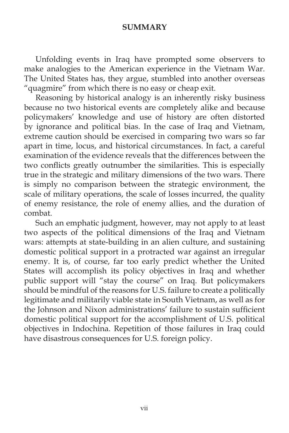### **SUMMARY**

Unfolding events in Iraq have prompted some observers to make analogies to the American experience in the Vietnam War. The United States has, they argue, stumbled into another overseas "quagmire" from which there is no easy or cheap exit.

Reasoning by historical analogy is an inherently risky business because no two historical events are completely alike and because policymakers' knowledge and use of history are often distorted by ignorance and political bias. In the case of Iraq and Vietnam, extreme caution should be exercised in comparing two wars so far apart in time, locus, and historical circumstances. In fact, a careful examination of the evidence reveals that the differences between the two conflicts greatly outnumber the similarities. This is especially true in the strategic and military dimensions of the two wars. There is simply no comparison between the strategic environment, the scale of military operations, the scale of losses incurred, the quality of enemy resistance, the role of enemy allies, and the duration of combat.

Such an emphatic judgment, however, may not apply to at least two aspects of the political dimensions of the Iraq and Vietnam wars: attempts at state-building in an alien culture, and sustaining domestic political support in a protracted war against an irregular enemy. It is, of course, far too early predict whether the United States will accomplish its policy objectives in Iraq and whether public support will "stay the course" on Iraq. But policymakers should be mindful of the reasons for U.S. failure to create a politically legitimate and militarily viable state in South Vietnam, as well as for the Johnson and Nixon administrations' failure to sustain sufficient domestic political support for the accomplishment of U.S. political objectives in Indochina. Repetition of those failures in Iraq could have disastrous consequences for U.S. foreign policy.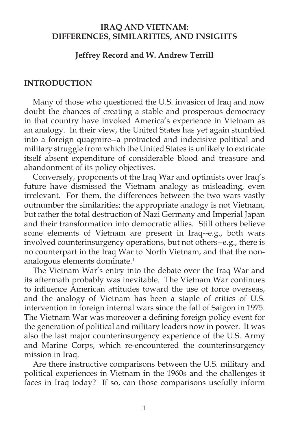## **IRAQ AND VIETNAM: DIFFERENCES, SIMILARITIES, AND INSIGHTS**

### **Jeffrey Record and W. Andrew Terrill**

### **INTRODUCTION**

Many of those who questioned the U.S. invasion of Iraq and now doubt the chances of creating a stable and prosperous democracy in that country have invoked America's experience in Vietnam as an analogy. In their view, the United States has yet again stumbled into a foreign quagmire--a protracted and indecisive political and military struggle from which the United States is unlikely to extricate itself absent expenditure of considerable blood and treasure and abandonment of its policy objectives.

Conversely, proponents of the Iraq War and optimists over Iraq's future have dismissed the Vietnam analogy as misleading, even irrelevant. For them, the differences between the two wars vastly outnumber the similarities; the appropriate analogy is not Vietnam, but rather the total destruction of Nazi Germany and Imperial Japan and their transformation into democratic allies. Still others believe some elements of Vietnam are present in Iraq--e.g., both wars involved counterinsurgency operations, but not others--e.g., there is no counterpart in the Iraq War to North Vietnam, and that the nonanalogous elements dominate.<sup>1</sup>

The Vietnam War's entry into the debate over the Iraq War and its aftermath probably was inevitable. The Vietnam War continues to influence American attitudes toward the use of force overseas, and the analogy of Vietnam has been a staple of critics of U.S. intervention in foreign internal wars since the fall of Saigon in 1975. The Vietnam War was moreover a defining foreign policy event for the generation of political and military leaders now in power. It was also the last major counterinsurgency experience of the U.S. Army and Marine Corps, which re-encountered the counterinsurgency mission in Iraq.

Are there instructive comparisons between the U.S. military and political experiences in Vietnam in the 1960s and the challenges it faces in Iraq today? If so, can those comparisons usefully inform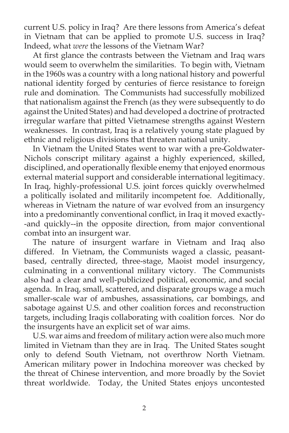current U.S. policy in Iraq? Are there lessons from America's defeat in Vietnam that can be applied to promote U.S. success in Iraq? Indeed, what *were* the lessons of the Vietnam War?

At first glance the contrasts between the Vietnam and Iraq wars would seem to overwhelm the similarities. To begin with, Vietnam in the 1960s was a country with a long national history and powerful national identity forged by centuries of fierce resistance to foreign rule and domination. The Communists had successfully mobilized that nationalism against the French (as they were subsequently to do against the United States) and had developed a doctrine of protracted irregular warfare that pitted Vietnamese strengths against Western weaknesses. In contrast, Iraq is a relatively young state plagued by ethnic and religious divisions that threaten national unity.

In Vietnam the United States went to war with a pre-Goldwater-Nichols conscript military against a highly experienced, skilled, disciplined, and operationally flexible enemy that enjoyed enormous external material support and considerable international legitimacy. In Iraq, highly-professional U.S. joint forces quickly overwhelmed a politically isolated and militarily incompetent foe. Additionally, whereas in Vietnam the nature of war evolved from an insurgency into a predominantly conventional conflict, in Iraq it moved exactly--and quickly--in the opposite direction, from major conventional combat into an insurgent war.

The nature of insurgent warfare in Vietnam and Iraq also differed. In Vietnam, the Communists waged a classic, peasantbased, centrally directed, three-stage, Maoist model insurgency, culminating in a conventional military victory. The Communists also had a clear and well-publicized political, economic, and social agenda. In Iraq, small, scattered, and disparate groups wage a much smaller-scale war of ambushes, assassinations, car bombings, and sabotage against U.S. and other coalition forces and reconstruction targets, including Iraqis collaborating with coalition forces. Nor do the insurgents have an explicit set of war aims.

U.S. war aims and freedom of military action were also much more limited in Vietnam than they are in Iraq. The United States sought only to defend South Vietnam, not overthrow North Vietnam. American military power in Indochina moreover was checked by the threat of Chinese intervention, and more broadly by the Soviet threat worldwide. Today, the United States enjoys uncontested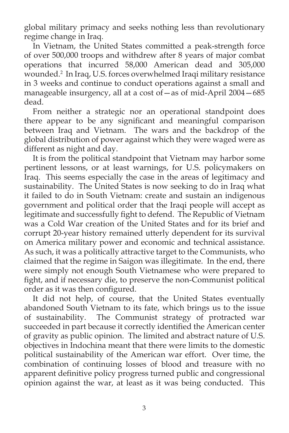global military primacy and seeks nothing less than revolutionary regime change in Iraq.

In Vietnam, the United States committed a peak-strength force of over 500,000 troops and withdrew after 8 years of major combat operations that incurred 58,000 American dead and 305,000 wounded.2 In Iraq, U.S. forces overwhelmed Iraqi military resistance in 3 weeks and continue to conduct operations against a small and manageable insurgency, all at a cost of—as of mid-April 2004—685 dead.

From neither a strategic nor an operational standpoint does there appear to be any significant and meaningful comparison between Iraq and Vietnam. The wars and the backdrop of the global distribution of power against which they were waged were as different as night and day.

It is from the political standpoint that Vietnam may harbor some pertinent lessons, or at least warnings, for U.S. policymakers on Iraq. This seems especially the case in the areas of legitimacy and sustainability. The United States is now seeking to do in Iraq what it failed to do in South Vietnam: create and sustain an indigenous government and political order that the Iraqi people will accept as legitimate and successfully fight to defend. The Republic of Vietnam was a Cold War creation of the United States and for its brief and corrupt 20-year history remained utterly dependent for its survival on America military power and economic and technical assistance. As such, it was a politically attractive target to the Communists, who claimed that the regime in Saigon was illegitimate. In the end, there were simply not enough South Vietnamese who were prepared to fight, and if necessary die, to preserve the non-Communist political order as it was then configured.

It did not help, of course, that the United States eventually abandoned South Vietnam to its fate, which brings us to the issue of sustainability. The Communist strategy of protracted war succeeded in part because it correctly identified the American center of gravity as public opinion. The limited and abstract nature of U.S. objectives in Indochina meant that there were limits to the domestic political sustainability of the American war effort. Over time, the combination of continuing losses of blood and treasure with no apparent definitive policy progress turned public and congressional opinion against the war, at least as it was being conducted. This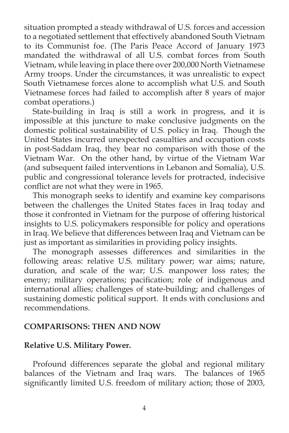situation prompted a steady withdrawal of U.S. forces and accession to a negotiated settlement that effectively abandoned South Vietnam to its Communist foe. (The Paris Peace Accord of January 1973 mandated the withdrawal of all U.S. combat forces from South Vietnam, while leaving in place there over 200,000 North Vietnamese Army troops. Under the circumstances, it was unrealistic to expect South Vietnamese forces alone to accomplish what U.S. and South Vietnamese forces had failed to accomplish after 8 years of major combat operations.)

State-building in Iraq is still a work in progress, and it is impossible at this juncture to make conclusive judgments on the domestic political sustainability of U.S. policy in Iraq. Though the United States incurred unexpected casualties and occupation costs in post-Saddam Iraq, they bear no comparison with those of the Vietnam War. On the other hand, by virtue of the Vietnam War (and subsequent failed interventions in Lebanon and Somalia), U.S. public and congressional tolerance levels for protracted, indecisive conflict are not what they were in 1965.

This monograph seeks to identify and examine key comparisons between the challenges the United States faces in Iraq today and those it confronted in Vietnam for the purpose of offering historical insights to U.S. policymakers responsible for policy and operations in Iraq. We believe that differences between Iraq and Vietnam can be just as important as similarities in providing policy insights.

The monograph assesses differences and similarities in the following areas: relative U.S. military power; war aims; nature, duration, and scale of the war; U.S. manpower loss rates; the enemy; military operations; pacification; role of indigenous and international allies; challenges of state-building; and challenges of sustaining domestic political support. It ends with conclusions and recommendations.

### **COMPARISONS: THEN AND NOW**

#### **Relative U.S. Military Power.**

Profound differences separate the global and regional military balances of the Vietnam and Iraq wars. The balances of 1965 significantly limited U.S. freedom of military action; those of 2003,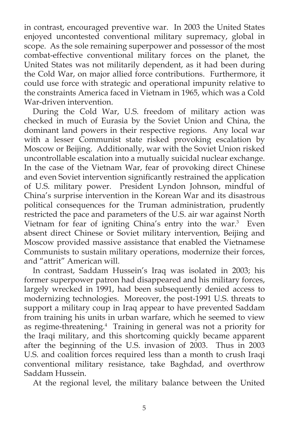in contrast, encouraged preventive war. In 2003 the United States enjoyed uncontested conventional military supremacy, global in scope. As the sole remaining superpower and possessor of the most combat-effective conventional military forces on the planet, the United States was not militarily dependent, as it had been during the Cold War, on major allied force contributions. Furthermore, it could use force with strategic and operational impunity relative to the constraints America faced in Vietnam in 1965, which was a Cold War-driven intervention.

During the Cold War, U.S. freedom of military action was checked in much of Eurasia by the Soviet Union and China, the dominant land powers in their respective regions. Any local war with a lesser Communist state risked provoking escalation by Moscow or Beijing. Additionally, war with the Soviet Union risked uncontrollable escalation into a mutually suicidal nuclear exchange. In the case of the Vietnam War, fear of provoking direct Chinese and even Soviet intervention significantly restrained the application of U.S. military power. President Lyndon Johnson, mindful of China's surprise intervention in the Korean War and its disastrous political consequences for the Truman administration, prudently restricted the pace and parameters of the U.S. air war against North Vietnam for fear of igniting China's entry into the war.<sup>3</sup> Even absent direct Chinese or Soviet military intervention, Beijing and Moscow provided massive assistance that enabled the Vietnamese Communists to sustain military operations, modernize their forces, and "attrit" American will.

In contrast, Saddam Hussein's Iraq was isolated in 2003; his former superpower patron had disappeared and his military forces, largely wrecked in 1991, had been subsequently denied access to modernizing technologies. Moreover, the post-1991 U.S. threats to support a military coup in Iraq appear to have prevented Saddam from training his units in urban warfare, which he seemed to view as regime-threatening.<sup>4</sup> Training in general was not a priority for the Iraqi military, and this shortcoming quickly became apparent after the beginning of the U.S. invasion of 2003. Thus in 2003 U.S. and coalition forces required less than a month to crush Iraqi conventional military resistance, take Baghdad, and overthrow Saddam Hussein.

At the regional level, the military balance between the United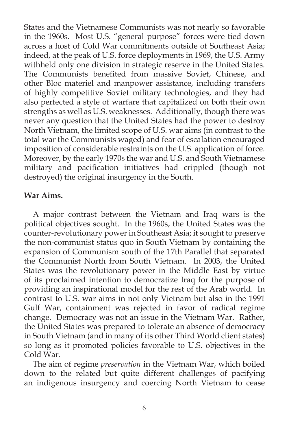States and the Vietnamese Communists was not nearly so favorable in the 1960s. Most U.S. "general purpose" forces were tied down across a host of Cold War commitments outside of Southeast Asia; indeed, at the peak of U.S. force deployments in 1969, the U.S. Army withheld only one division in strategic reserve in the United States. The Communists benefited from massive Soviet, Chinese, and other Bloc materiel and manpower assistance, including transfers of highly competitive Soviet military technologies, and they had also perfected a style of warfare that capitalized on both their own strengths as well as U.S. weaknesses. Additionally, though there was never any question that the United States had the power to destroy North Vietnam, the limited scope of U.S. war aims (in contrast to the total war the Communists waged) and fear of escalation encouraged imposition of considerable restraints on the U.S. application of force. Moreover, by the early 1970s the war and U.S. and South Vietnamese military and pacification initiatives had crippled (though not destroyed) the original insurgency in the South.

## **War Aims.**

A major contrast between the Vietnam and Iraq wars is the political objectives sought. In the 1960s, the United States was the counter-revolutionary power in Southeast Asia; it sought to preserve the non-communist status quo in South Vietnam by containing the expansion of Communism south of the 17th Parallel that separated the Communist North from South Vietnam. In 2003, the United States was the revolutionary power in the Middle East by virtue of its proclaimed intention to democratize Iraq for the purpose of providing an inspirational model for the rest of the Arab world. In contrast to U.S. war aims in not only Vietnam but also in the 1991 Gulf War, containment was rejected in favor of radical regime change. Democracy was not an issue in the Vietnam War. Rather, the United States was prepared to tolerate an absence of democracy in South Vietnam (and in many of its other Third World client states) so long as it promoted policies favorable to U.S. objectives in the Cold War.

The aim of regime *preservation* in the Vietnam War, which boiled down to the related but quite different challenges of pacifying an indigenous insurgency and coercing North Vietnam to cease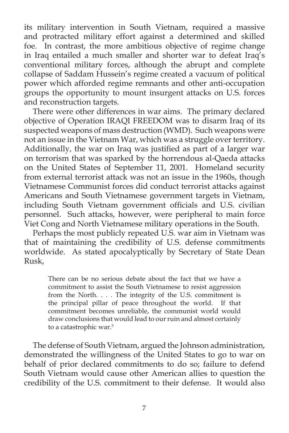its military intervention in South Vietnam, required a massive and protracted military effort against a determined and skilled foe. In contrast, the more ambitious objective of regime change in Iraq entailed a much smaller and shorter war to defeat Iraq's conventional military forces, although the abrupt and complete collapse of Saddam Hussein's regime created a vacuum of political power which afforded regime remnants and other anti-occupation groups the opportunity to mount insurgent attacks on U.S. forces and reconstruction targets.

There were other differences in war aims. The primary declared objective of Operation IRAQI FREEDOM was to disarm Iraq of its suspected weapons of mass destruction (WMD). Such weapons were not an issue in the Vietnam War, which was a struggle over territory. Additionally, the war on Iraq was justified as part of a larger war on terrorism that was sparked by the horrendous al-Qaeda attacks on the United States of September 11, 2001. Homeland security from external terrorist attack was not an issue in the 1960s, though Vietnamese Communist forces did conduct terrorist attacks against Americans and South Vietnamese government targets in Vietnam, including South Vietnam government officials and U.S. civilian personnel. Such attacks, however, were peripheral to main force Viet Cong and North Vietnamese military operations in the South.

Perhaps the most publicly repeated U.S. war aim in Vietnam was that of maintaining the credibility of U.S. defense commitments worldwide. As stated apocalyptically by Secretary of State Dean Rusk,

There can be no serious debate about the fact that we have a commitment to assist the South Vietnamese to resist aggression from the North. . . . The integrity of the U.S. commitment is the principal pillar of peace throughout the world. If that commitment becomes unreliable, the communist world would draw conclusions that would lead to our ruin and almost certainly to a catastrophic war.<sup>5</sup>

The defense of South Vietnam, argued the Johnson administration, demonstrated the willingness of the United States to go to war on behalf of prior declared commitments to do so; failure to defend South Vietnam would cause other American allies to question the credibility of the U.S. commitment to their defense. It would also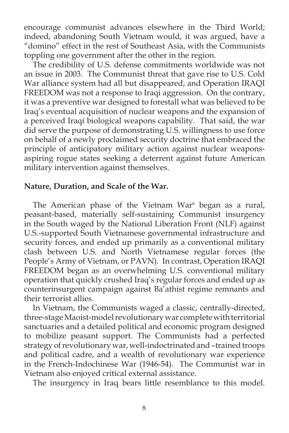encourage communist advances elsewhere in the Third World; indeed, abandoning South Vietnam would, it was argued, have a "domino" effect in the rest of Southeast Asia, with the Communists toppling one government after the other in the region.

The credibility of U.S. defense commitments worldwide was not an issue in 2003. The Communist threat that gave rise to U.S. Cold War alliance system had all but disappeared, and Operation IRAQI FREEDOM was not a response to Iraqi aggression. On the contrary, it was a preventive war designed to forestall what was believed to be Iraq's eventual acquisition of nuclear weapons and the expansion of a perceived Iraqi biological weapons capability. That said, the war did serve the purpose of demonstrating U.S. willingness to use force on behalf of a newly proclaimed security doctrine that embraced the principle of anticipatory military action against nuclear weaponsaspiring rogue states seeking a deterrent against future American military intervention against themselves.

### **Nature, Duration, and Scale of the War.**

The American phase of the Vietnam War $6$  began as a rural, peasant-based, materially self-sustaining Communist insurgency in the South waged by the National Liberation Front (NLF) against U.S.-supported South Vietnamese governmental infrastructure and security forces, and ended up primarily as a conventional military clash between U.S. and North Vietnamese regular forces (the People's Army of Vietnam, or PAVN). In contrast, Operation IRAQI FREEDOM began as an overwhelming U.S. conventional military operation that quickly crushed Iraq's regular forces and ended up as counterinsurgent campaign against Ba'athist regime remnants and their terrorist allies.

In Vietnam, the Communists waged a classic, centrally-directed, three-stage Maoist-model revolutionary war complete with territorial sanctuaries and a detailed political and economic program designed to mobilize peasant support. The Communists had a perfected strategy of revolutionary war, well-indoctrinated and –trained troops and political cadre, and a wealth of revolutionary war experience in the French-Indochinese War (1946-54). The Communist war in Vietnam also enjoyed critical external assistance.

The insurgency in Iraq bears little resemblance to this model.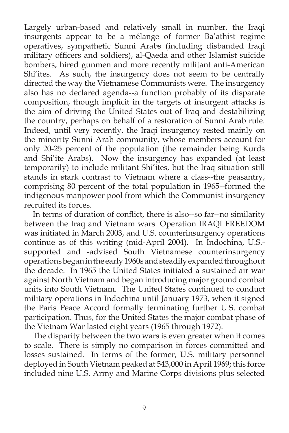Largely urban-based and relatively small in number, the Iraqi insurgents appear to be a mélange of former Ba'athist regime operatives, sympathetic Sunni Arabs (including disbanded Iraqi military officers and soldiers), al-Qaeda and other Islamist suicide bombers, hired gunmen and more recently militant anti-American Shi'ites. As such, the insurgency does not seem to be centrally directed the way the Vietnamese Communists were. The insurgency also has no declared agenda--a function probably of its disparate composition, though implicit in the targets of insurgent attacks is the aim of driving the United States out of Iraq and destabilizing the country, perhaps on behalf of a restoration of Sunni Arab rule. Indeed, until very recently, the Iraqi insurgency rested mainly on the minority Sunni Arab community, whose members account for only 20-25 percent of the population (the remainder being Kurds and Shi'ite Arabs). Now the insurgency has expanded (at least temporarily) to include militant Shi'ites, but the Iraq situation still stands in stark contrast to Vietnam where a class--the peasantry, comprising 80 percent of the total population in 1965--formed the indigenous manpower pool from which the Communist insurgency recruited its forces.

In terms of duration of conflict, there is also--so far--no similarity between the Iraq and Vietnam wars. Operation IRAQI FREEDOM was initiated in March 2003, and U.S. counterinsurgency operations continue as of this writing (mid-April 2004). In Indochina, U.S. supported and -advised South Vietnamese counterinsurgency operations began in the early 1960s and steadily expanded throughout the decade. In 1965 the United States initiated a sustained air war against North Vietnam and began introducing major ground combat units into South Vietnam. The United States continued to conduct military operations in Indochina until January 1973, when it signed the Paris Peace Accord formally terminating further U.S. combat participation. Thus, for the United States the major combat phase of the Vietnam War lasted eight years (1965 through 1972).

The disparity between the two wars is even greater when it comes to scale. There is simply no comparison in forces committed and losses sustained. In terms of the former, U.S. military personnel deployed in South Vietnam peaked at 543,000 in April 1969; this force included nine U.S. Army and Marine Corps divisions plus selected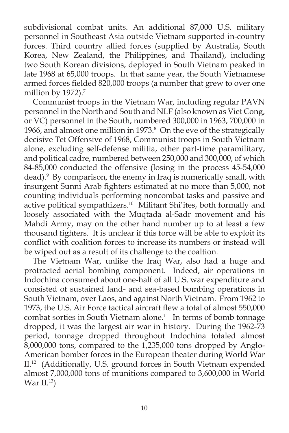subdivisional combat units. An additional 87,000 U.S. military personnel in Southeast Asia outside Vietnam supported in-country forces. Third country allied forces (supplied by Australia, South Korea, New Zealand, the Philippines, and Thailand), including two South Korean divisions, deployed in South Vietnam peaked in late 1968 at 65,000 troops. In that same year, the South Vietnamese armed forces fielded 820,000 troops (a number that grew to over one million by  $1972$ ).<sup>7</sup>

Communist troops in the Vietnam War, including regular PAVN personnel in the North and South and NLF (also known as Viet Cong, or VC) personnel in the South, numbered 300,000 in 1963, 700,000 in 1966, and almost one million in 1973. $\delta$  On the eve of the strategically decisive Tet Offensive of 1968, Communist troops in South Vietnam alone, excluding self-defense militia, other part-time paramilitary, and political cadre, numbered between 250,000 and 300,000, of which 84-85,000 conducted the offensive (losing in the process 45-54,000 dead).9 By comparison, the enemy in Iraq is numerically small, with insurgent Sunni Arab fighters estimated at no more than 5,000, not counting individuals performing noncombat tasks and passive and active political sympathizers. $10$  Militant Shi'ites, both formally and loosely associated with the Muqtada al-Sadr movement and his Mahdi Army, may on the other hand number up to at least a few thousand fighters. It is unclear if this force will be able to exploit its conflict with coalition forces to increase its numbers or instead will be wiped out as a result of its challenge to the coaltion.

The Vietnam War, unlike the Iraq War, also had a huge and protracted aerial bombing component. Indeed, air operations in Indochina consumed about one-half of all U.S. war expenditure and consisted of sustained land- and sea-based bombing operations in South Vietnam, over Laos, and against North Vietnam. From 1962 to 1973, the U.S. Air Force tactical aircraft flew a total of almost 550,000 combat sorties in South Vietnam alone.<sup>11</sup> In terms of bomb tonnage dropped, it was the largest air war in history. During the 1962-73 period, tonnage dropped throughout Indochina totaled almost 8,000,000 tons, compared to the 1,235,000 tons dropped by Anglo-American bomber forces in the European theater during World War II.12 (Additionally, U.S. ground forces in South Vietnam expended almost 7,000,000 tons of munitions compared to 3,600,000 in World War II. $13$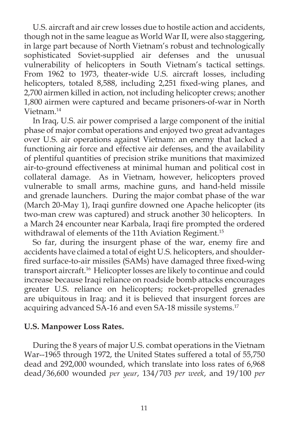U.S. aircraft and air crew losses due to hostile action and accidents, though not in the same league as World War II, were also staggering, in large part because of North Vietnam's robust and technologically sophisticated Soviet-supplied air defenses and the unusual vulnerability of helicopters in South Vietnam's tactical settings. From 1962 to 1973, theater-wide U.S. aircraft losses, including helicopters, totaled 8,588, including 2,251 fixed-wing planes, and 2,700 airmen killed in action, not including helicopter crews; another 1,800 airmen were captured and became prisoners-of-war in North Vietnam.14

In Iraq, U.S. air power comprised a large component of the initial phase of major combat operations and enjoyed two great advantages over U.S. air operations against Vietnam: an enemy that lacked a functioning air force and effective air defenses, and the availability of plentiful quantities of precision strike munitions that maximized air-to-ground effectiveness at minimal human and political cost in collateral damage. As in Vietnam, however, helicopters proved vulnerable to small arms, machine guns, and hand-held missile and grenade launchers. During the major combat phase of the war (March 20-May 1), Iraqi gunfire downed one Apache helicopter (its two-man crew was captured) and struck another 30 helicopters. In a March 24 encounter near Karbala, Iraqi fire prompted the ordered withdrawal of elements of the 11th Aviation Regiment.<sup>15</sup>

So far, during the insurgent phase of the war, enemy fire and accidents have claimed a total of eight U.S. helicopters, and shoulderfired surface-to-air missiles (SAMs) have damaged three fixed-wing transport aircraft.16 Helicopter losses are likely to continue and could increase because Iraqi reliance on roadside bomb attacks encourages greater U.S. reliance on helicopters; rocket-propelled grenades are ubiquitous in Iraq; and it is believed that insurgent forces are acquiring advanced SA-16 and even SA-18 missile systems.<sup>17</sup>

### **U.S. Manpower Loss Rates.**

During the 8 years of major U.S. combat operations in the Vietnam War--1965 through 1972, the United States suffered a total of 55,750 dead and 292,000 wounded, which translate into loss rates of 6,968 dead/36,600 wounded *per year*, 134/703 *per week*, and 19/100 *per*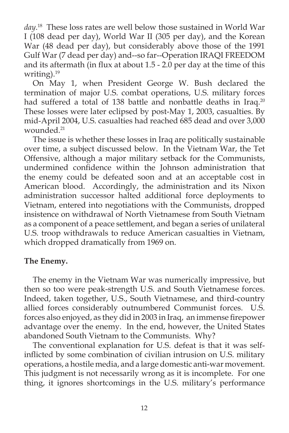*day*. 18 These loss rates are well below those sustained in World War I (108 dead per day), World War II (305 per day), and the Korean War (48 dead per day), but considerably above those of the 1991 Gulf War (7 dead per day) and--so far--Operation IRAQI FREEDOM and its aftermath (in flux at about  $1.5 - 2.0$  per day at the time of this writing).<sup>19</sup>

On May 1, when President George W. Bush declared the termination of major U.S. combat operations, U.S. military forces had suffered a total of 138 battle and nonbattle deaths in Iraq.<sup>20</sup> These losses were later eclipsed by post-May 1, 2003, casualties. By mid-April 2004, U.S. casualties had reached 685 dead and over 3,000 wounded.<sup>21</sup>

The issue is whether these losses in Iraq are politically sustainable over time, a subject discussed below. In the Vietnam War, the Tet Offensive, although a major military setback for the Communists, undermined confidence within the Johnson administration that the enemy could be defeated soon and at an acceptable cost in American blood. Accordingly, the administration and its Nixon administration successor halted additional force deployments to Vietnam, entered into negotiations with the Communists, dropped insistence on withdrawal of North Vietnamese from South Vietnam as a component of a peace settlement, and began a series of unilateral U.S. troop withdrawals to reduce American casualties in Vietnam, which dropped dramatically from 1969 on.

## **The Enemy.**

The enemy in the Vietnam War was numerically impressive, but then so too were peak-strength U.S. and South Vietnamese forces. Indeed, taken together, U.S., South Vietnamese, and third-country allied forces considerably outnumbered Communist forces. U.S. forces also enjoyed, as they did in 2003 in Iraq, an immense firepower advantage over the enemy. In the end, however, the United States abandoned South Vietnam to the Communists. Why?

The conventional explanation for U.S. defeat is that it was selfinflicted by some combination of civilian intrusion on U.S. military operations, a hostile media, and a large domestic anti-war movement. This judgment is not necessarily wrong as it is incomplete. For one thing, it ignores shortcomings in the U.S. military's performance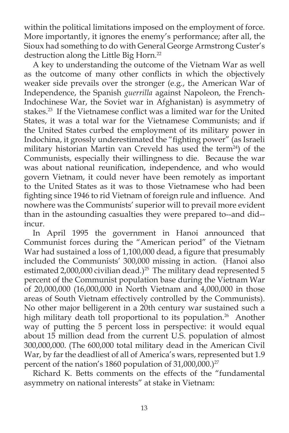within the political limitations imposed on the employment of force. More importantly, it ignores the enemy's performance; after all, the Sioux had something to do with General George Armstrong Custer's destruction along the Little Big Horn.<sup>22</sup>

A key to understanding the outcome of the Vietnam War as well as the outcome of many other conflicts in which the objectively weaker side prevails over the stronger (e.g., the American War of Independence, the Spanish *guerrilla* against Napoleon, the French-Indochinese War, the Soviet war in Afghanistan) is asymmetry of stakes.<sup>23</sup> If the Vietnamese conflict was a limited war for the United States, it was a total war for the Vietnamese Communists; and if the United States curbed the employment of its military power in Indochina, it grossly underestimated the "fighting power" (as Israeli military historian Martin van Creveld has used the term<sup>24</sup>) of the Communists, especially their willingness to die. Because the war was about national reunification, independence, and who would govern Vietnam, it could never have been remotely as important to the United States as it was to those Vietnamese who had been fighting since 1946 to rid Vietnam of foreign rule and influence. And nowhere was the Communists' superior will to prevail more evident than in the astounding casualties they were prepared to--and did- incur.

In April 1995 the government in Hanoi announced that Communist forces during the "American period" of the Vietnam War had sustained a loss of 1,100,000 dead, a figure that presumably included the Communists' 300,000 missing in action. (Hanoi also estimated 2,000,000 civilian dead.)<sup>25</sup> The military dead represented 5 percent of the Communist population base during the Vietnam War of 20,000,000 (16,000,000 in North Vietnam and 4,000,000 in those areas of South Vietnam effectively controlled by the Communists). No other major belligerent in a 20th century war sustained such a high military death toll proportional to its population.<sup>26</sup> Another way of putting the 5 percent loss in perspective: it would equal about 15 million dead from the current U.S. population of almost 300,000,000. (The 600,000 total military dead in the American Civil War, by far the deadliest of all of America's wars, represented but 1.9 percent of the nation's 1860 population of 31,000,000.)<sup>27</sup>

Richard K. Betts comments on the effects of the "fundamental asymmetry on national interests" at stake in Vietnam: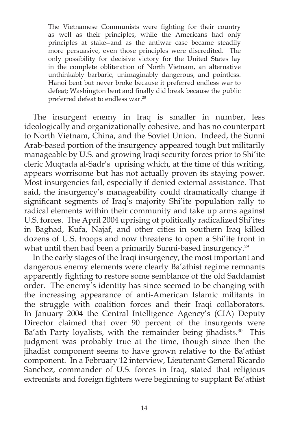The Vietnamese Communists were fighting for their country as well as their principles, while the Americans had only principles at stake--and as the antiwar case became steadily more persuasive, even those principles were discredited. The only possibility for decisive victory for the United States lay in the complete obliteration of North Vietnam, an alternative unthinkably barbaric, unimaginably dangerous, and pointless. Hanoi bent but never broke because it preferred endless war to defeat; Washington bent and finally did break because the public preferred defeat to endless war.28

The insurgent enemy in Iraq is smaller in number, less ideologically and organizationally cohesive, and has no counterpart to North Vietnam, China, and the Soviet Union. Indeed, the Sunni Arab-based portion of the insurgency appeared tough but militarily manageable by U.S. and growing Iraqi security forces prior to Shi'ite cleric Muqtada al-Sadr's uprising which, at the time of this writing, appears worrisome but has not actually proven its staying power. Most insurgencies fail, especially if denied external assistance. That said, the insurgency's manageability could dramatically change if significant segments of Iraq's majority Shi'ite population rally to radical elements within their community and take up arms against U.S. forces. The April 2004 uprising of politically radicalized Shi'ites in Baghad, Kufa, Najaf, and other cities in southern Iraq killed dozens of U.S. troops and now threatens to open a Shi'ite front in what until then had been a primarily Sunni-based insurgency.<sup>29</sup>

In the early stages of the Iraqi insurgency, the most important and dangerous enemy elements were clearly Ba'athist regime remnants apparently fighting to restore some semblance of the old Saddamist order. The enemy's identity has since seemed to be changing with the increasing appearance of anti-American Islamic militants in the struggle with coalition forces and their Iraqi collaborators. In January 2004 the Central Intelligence Agency's (CIA) Deputy Director claimed that over 90 percent of the insurgents were Ba'ath Party loyalists, with the remainder being jihadists.<sup>30</sup> This judgment was probably true at the time, though since then the jihadist component seems to have grown relative to the Ba'athist component. In a February 12 interview, Lieutenant General Ricardo Sanchez, commander of U.S. forces in Iraq, stated that religious extremists and foreign fighters were beginning to supplant Ba'athist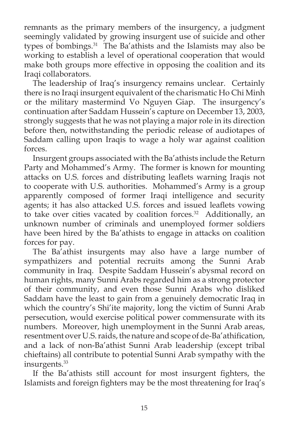remnants as the primary members of the insurgency, a judgment seemingly validated by growing insurgent use of suicide and other types of bombings.<sup>31</sup> The Ba'athists and the Islamists may also be working to establish a level of operational cooperation that would make both groups more effective in opposing the coalition and its Iraqi collaborators.

The leadership of Iraq's insurgency remains unclear. Certainly there is no Iraqi insurgent equivalent of the charismatic Ho Chi Minh or the military mastermind Vo Nguyen Giap. The insurgency's continuation after Saddam Hussein's capture on December 13, 2003, strongly suggests that he was not playing a major role in its direction before then, notwithstanding the periodic release of audiotapes of Saddam calling upon Iraqis to wage a holy war against coalition forces.

Insurgent groups associated with the Ba'athists include the Return Party and Mohammed's Army. The former is known for mounting attacks on U.S. forces and distributing leaflets warning Iraqis not to cooperate with U.S. authorities. Mohammed's Army is a group apparently composed of former Iraqi intelligence and security agents; it has also attacked U.S. forces and issued leaflets vowing to take over cities vacated by coalition forces.<sup>32</sup> Additionally, an unknown number of criminals and unemployed former soldiers have been hired by the Ba'athists to engage in attacks on coalition forces for pay.

The Ba'athist insurgents may also have a large number of sympathizers and potential recruits among the Sunni Arab community in Iraq. Despite Saddam Hussein's abysmal record on human rights, many Sunni Arabs regarded him as a strong protector of their community, and even those Sunni Arabs who disliked Saddam have the least to gain from a genuinely democratic Iraq in which the country's Shi'ite majority, long the victim of Sunni Arab persecution, would exercise political power commensurate with its numbers. Moreover, high unemployment in the Sunni Arab areas, resentment over U.S. raids, the nature and scope of de-Ba'athification, and a lack of non-Ba'athist Sunni Arab leadership (except tribal chieftains) all contribute to potential Sunni Arab sympathy with the insurgents.<sup>33</sup>

If the Ba'athists still account for most insurgent fighters, the Islamists and foreign fighters may be the most threatening for Iraq's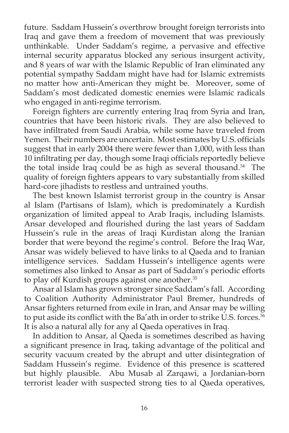future. Saddam Hussein's overthrow brought foreign terrorists into Iraq and gave them a freedom of movement that was previously unthinkable. Under Saddam's regime, a pervasive and effective internal security apparatus blocked any serious insurgent activity, and 8 years of war with the Islamic Republic of Iran eliminated any potential sympathy Saddam might have had for Islamic extremists no matter how anti-American they might be. Moreover, some of Saddam's most dedicated domestic enemies were Islamic radicals who engaged in anti-regime terrorism.

Foreign fighters are currently entering Iraq from Syria and Iran, countries that have been historic rivals. They are also believed to have infiltrated from Saudi Arabia, while some have traveled from Yemen. Their numbers are uncertain. Most estimates by U.S. officials suggest that in early 2004 there were fewer than 1,000, with less than 10 infiltrating per day, though some Iraqi officials reportedly believe the total inside Iraq could be as high as several thousand.<sup>34</sup> The quality of foreign fighters appears to vary substantially from skilled hard-core jihadists to restless and untrained youths.

The best known Islamist terrorist group in the country is Ansar al Islam (Partisans of Islam), which is predominately a Kurdish organization of limited appeal to Arab Iraqis, including Islamists. Ansar developed and flourished during the last years of Saddam Hussein's rule in the areas of Iraqi Kurdistan along the Iranian border that were beyond the regime's control. Before the Iraq War, Ansar was widely believed to have links to al Qaeda and to Iranian intelligence services. Saddam Hussein's intelligence agents were sometimes also linked to Ansar as part of Saddam's periodic efforts to play off Kurdish groups against one another.<sup>35</sup>

Ansar al Islam has grown stronger since Saddam's fall. According to Coalition Authority Administrator Paul Bremer, hundreds of Ansar fighters returned from exile in Iran, and Ansar may be willing to put aside its conflict with the Ba'ath in order to strike U.S. forces.<sup>36</sup> It is also a natural ally for any al Qaeda operatives in Iraq.

In addition to Ansar, al Qaeda is sometimes described as having a significant presence in Iraq, taking advantage of the political and security vacuum created by the abrupt and utter disintegration of Saddam Hussein's regime. Evidence of this presence is scattered but highly plausible. Abu Musab al Zarqawi, a Jordanian-born terrorist leader with suspected strong ties to al Qaeda operatives,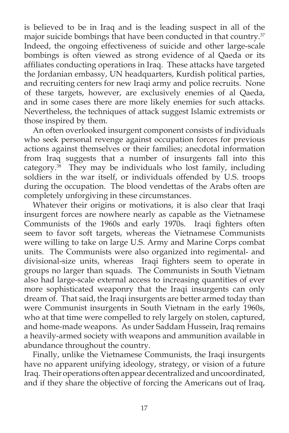is believed to be in Iraq and is the leading suspect in all of the major suicide bombings that have been conducted in that country.<sup>37</sup> Indeed, the ongoing effectiveness of suicide and other large-scale bombings is often viewed as strong evidence of al Qaeda or its affiliates conducting operations in Iraq. These attacks have targeted the Jordanian embassy, UN headquarters, Kurdish political parties, and recruiting centers for new Iraqi army and police recruits. None of these targets, however, are exclusively enemies of al Qaeda, and in some cases there are more likely enemies for such attacks. Nevertheless, the techniques of attack suggest Islamic extremists or those inspired by them.

An often overlooked insurgent component consists of individuals who seek personal revenge against occupation forces for previous actions against themselves or their families; anecdotal information from Iraq suggests that a number of insurgents fall into this category. $38$  They may be individuals who lost family, including soldiers in the war itself, or individuals offended by U.S. troops during the occupation. The blood vendettas of the Arabs often are completely unforgiving in these circumstances.

Whatever their origins or motivations, it is also clear that Iraqi insurgent forces are nowhere nearly as capable as the Vietnamese Communists of the 1960s and early 1970s. Iraqi fighters often seem to favor soft targets, whereas the Vietnamese Communists were willing to take on large U.S. Army and Marine Corps combat units. The Communists were also organized into regimental- and divisional-size units, whereas Iraqi fighters seem to operate in groups no larger than squads. The Communists in South Vietnam also had large-scale external access to increasing quantities of ever more sophisticated weaponry that the Iraqi insurgents can only dream of. That said, the Iraqi insurgents are better armed today than were Communist insurgents in South Vietnam in the early 1960s, who at that time were compelled to rely largely on stolen, captured, and home-made weapons. As under Saddam Hussein, Iraq remains a heavily-armed society with weapons and ammunition available in abundance throughout the country.

Finally, unlike the Vietnamese Communists, the Iraqi insurgents have no apparent unifying ideology, strategy, or vision of a future Iraq. Their operations often appear decentralized and uncoordinated, and if they share the objective of forcing the Americans out of Iraq,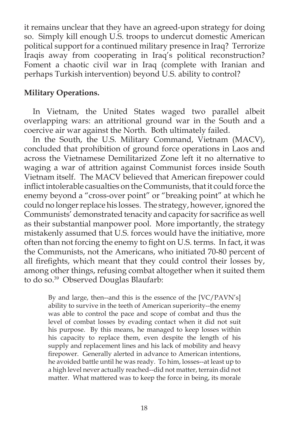it remains unclear that they have an agreed-upon strategy for doing so. Simply kill enough U.S. troops to undercut domestic American political support for a continued military presence in Iraq? Terrorize Iraqis away from cooperating in Iraq's political reconstruction? Foment a chaotic civil war in Iraq (complete with Iranian and perhaps Turkish intervention) beyond U.S. ability to control?

## **Military Operations.**

In Vietnam, the United States waged two parallel albeit overlapping wars: an attritional ground war in the South and a coercive air war against the North. Both ultimately failed.

In the South, the U.S. Military Command, Vietnam (MACV), concluded that prohibition of ground force operations in Laos and across the Vietnamese Demilitarized Zone left it no alternative to waging a war of attrition against Communist forces inside South Vietnam itself. The MACV believed that American firepower could inflict intolerable casualties on the Communists, that it could force the enemy beyond a "cross-over point" or "breaking point" at which he could no longer replace his losses. The strategy, however, ignored the Communists' demonstrated tenacity and capacity for sacrifice as well as their substantial manpower pool. More importantly, the strategy mistakenly assumed that U.S. forces would have the initiative, more often than not forcing the enemy to fight on U.S. terms. In fact, it was the Communists, not the Americans, who initiated 70-80 percent of all firefights, which meant that they could control their losses by, among other things, refusing combat altogether when it suited them to do so.39 Observed Douglas Blaufarb:

By and large, then--and this is the essence of the [VC/PAVN's] ability to survive in the teeth of American superiority--the enemy was able to control the pace and scope of combat and thus the level of combat losses by evading contact when it did not suit his purpose. By this means, he managed to keep losses within his capacity to replace them, even despite the length of his supply and replacement lines and his lack of mobility and heavy firepower. Generally alerted in advance to American intentions, he avoided battle until he was ready. To him, losses--at least up to a high level never actually reached--did not matter, terrain did not matter. What mattered was to keep the force in being, its morale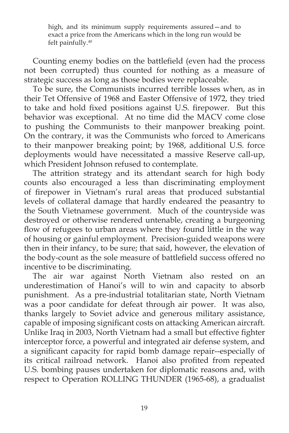high, and its minimum supply requirements assured—and to exact a price from the Americans which in the long run would be felt painfully.40

Counting enemy bodies on the battlefield (even had the process not been corrupted) thus counted for nothing as a measure of strategic success as long as those bodies were replaceable.

To be sure, the Communists incurred terrible losses when, as in their Tet Offensive of 1968 and Easter Offensive of 1972, they tried to take and hold fixed positions against U.S. firepower. But this behavior was exceptional. At no time did the MACV come close to pushing the Communists to their manpower breaking point. On the contrary, it was the Communists who forced to Americans to their manpower breaking point; by 1968, additional U.S. force deployments would have necessitated a massive Reserve call-up, which President Johnson refused to contemplate.

The attrition strategy and its attendant search for high body counts also encouraged a less than discriminating employment of firepower in Vietnam's rural areas that produced substantial levels of collateral damage that hardly endeared the peasantry to the South Vietnamese government. Much of the countryside was destroyed or otherwise rendered untenable, creating a burgeoning flow of refugees to urban areas where they found little in the way of housing or gainful employment. Precision-guided weapons were then in their infancy, to be sure; that said, however, the elevation of the body-count as the sole measure of battlefield success offered no incentive to be discriminating.

The air war against North Vietnam also rested on an underestimation of Hanoi's will to win and capacity to absorb punishment. As a pre-industrial totalitarian state, North Vietnam was a poor candidate for defeat through air power. It was also, thanks largely to Soviet advice and generous military assistance, capable of imposing significant costs on attacking American aircraft. Unlike Iraq in 2003, North Vietnam had a small but effective fighter interceptor force, a powerful and integrated air defense system, and a significant capacity for rapid bomb damage repair--especially of its critical railroad network. Hanoi also profited from repeated U.S. bombing pauses undertaken for diplomatic reasons and, with respect to Operation ROLLING THUNDER (1965-68), a gradualist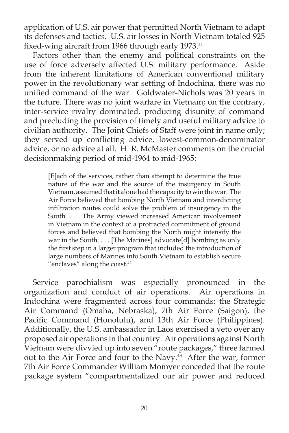application of U.S. air power that permitted North Vietnam to adapt its defenses and tactics. U.S. air losses in North Vietnam totaled 925 fixed-wing aircraft from 1966 through early 1973.<sup>41</sup>

Factors other than the enemy and political constraints on the use of force adversely affected U.S. military performance. Aside from the inherent limitations of American conventional military power in the revolutionary war setting of Indochina, there was no unified command of the war. Goldwater-Nichols was 20 years in the future. There was no joint warfare in Vietnam; on the contrary, inter-service rivalry dominated, producing disunity of command and precluding the provision of timely and useful military advice to civilian authority. The Joint Chiefs of Staff were joint in name only; they served up conflicting advice, lowest-common-denominator advice, or no advice at all. H. R. McMaster comments on the crucial decisionmaking period of mid-1964 to mid-1965:

[E]ach of the services, rather than attempt to determine the true nature of the war and the source of the insurgency in South Vietnam, assumed that it alone had the capacity to win the war. The Air Force believed that bombing North Vietnam and interdicting infiltration routes could solve the problem of insurgency in the South. . . . The Army viewed increased American involvement in Vietnam in the context of a protracted commitment of ground forces and believed that bombing the North might intensify the war in the South. . . . [The Marines] advocate[d] bombing as only the first step in a larger program that included the introduction of large numbers of Marines into South Vietnam to establish secure "enclaves" along the coast.<sup>42</sup>

Service parochialism was especially pronounced in the organization and conduct of air operations. Air operations in Indochina were fragmented across four commands: the Strategic Air Command (Omaha, Nebraska), 7th Air Force (Saigon), the Pacific Command (Honolulu), and 13th Air Force (Philippines). Additionally, the U.S. ambassador in Laos exercised a veto over any proposed air operations in that country. Air operations against North Vietnam were divvied up into seven "route packages," three farmed out to the Air Force and four to the Navy. $43$  After the war, former 7th Air Force Commander William Momyer conceded that the route package system "compartmentalized our air power and reduced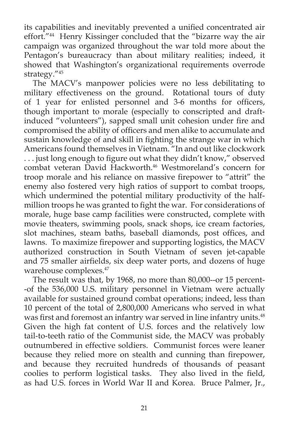its capabilities and inevitably prevented a unified concentrated air effort."44 Henry Kissinger concluded that the "bizarre way the air campaign was organized throughout the war told more about the Pentagon's bureaucracy than about military realities; indeed, it showed that Washington's organizational requirements overrode strategy."45

The MACV's manpower policies were no less debilitating to military effectiveness on the ground. Rotational tours of duty of 1 year for enlisted personnel and 3-6 months for officers, though important to morale (especially to conscripted and draftinduced "volunteers"), sapped small unit cohesion under fire and compromised the ability of officers and men alike to accumulate and sustain knowledge of and skill in fighting the strange war in which Americans found themselves in Vietnam. "In and out like clockwork ... just long enough to figure out what they didn't know," observed combat veteran David Hackworth.<sup>46</sup> Westmoreland's concern for troop morale and his reliance on massive firepower to "attrit" the enemy also fostered very high ratios of support to combat troops, which undermined the potential military productivity of the halfmillion troops he was granted to fight the war. For considerations of morale, huge base camp facilities were constructed, complete with movie theaters, swimming pools, snack shops, ice cream factories, slot machines, steam baths, baseball diamonds, post offices, and lawns. To maximize firepower and supporting logistics, the MACV authorized construction in South Vietnam of seven jet-capable and 75 smaller airfields, six deep water ports, and dozens of huge warehouse complexes.<sup>47</sup>

The result was that, by 1968, no more than 80,000--or 15 percent- -of the 536,000 U.S. military personnel in Vietnam were actually available for sustained ground combat operations; indeed, less than 10 percent of the total of 2,800,000 Americans who served in what was first and foremost an infantry war served in line infantry units.<sup>48</sup> Given the high fat content of U.S. forces and the relatively low tail-to-teeth ratio of the Communist side, the MACV was probably outnumbered in effective soldiers. Communist forces were leaner because they relied more on stealth and cunning than firepower, and because they recruited hundreds of thousands of peasant coolies to perform logistical tasks. They also lived in the field, as had U.S. forces in World War II and Korea. Bruce Palmer, Jr.,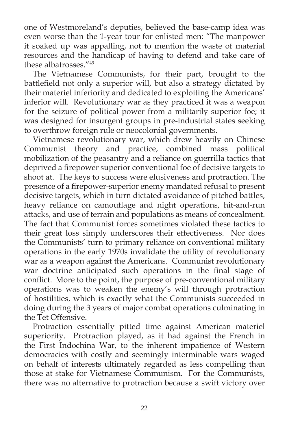one of Westmoreland's deputies, believed the base-camp idea was even worse than the 1-year tour for enlisted men: "The manpower it soaked up was appalling, not to mention the waste of material resources and the handicap of having to defend and take care of these albatrosses."49

The Vietnamese Communists, for their part, brought to the battlefield not only a superior will, but also a strategy dictated by their materiel inferiority and dedicated to exploiting the Americans' inferior will. Revolutionary war as they practiced it was a weapon for the seizure of political power from a militarily superior foe; it was designed for insurgent groups in pre-industrial states seeking to overthrow foreign rule or neocolonial governments.

Vietnamese revolutionary war, which drew heavily on Chinese Communist theory and practice, combined mass political mobilization of the peasantry and a reliance on guerrilla tactics that deprived a firepower superior conventional foe of decisive targets to shoot at. The keys to success were elusiveness and protraction. The presence of a firepower-superior enemy mandated refusal to present decisive targets, which in turn dictated avoidance of pitched battles, heavy reliance on camouflage and night operations, hit-and-run attacks, and use of terrain and populations as means of concealment. The fact that Communist forces sometimes violated these tactics to their great loss simply underscores their effectiveness. Nor does the Communists' turn to primary reliance on conventional military operations in the early 1970s invalidate the utility of revolutionary war as a weapon against the Americans. Communist revolutionary war doctrine anticipated such operations in the final stage of conflict. More to the point, the purpose of pre-conventional military operations was to weaken the enemy's will through protraction of hostilities, which is exactly what the Communists succeeded in doing during the 3 years of major combat operations culminating in the Tet Offensive.

Protraction essentially pitted time against American materiel superiority. Protraction played, as it had against the French in the First Indochina War, to the inherent impatience of Western democracies with costly and seemingly interminable wars waged on behalf of interests ultimately regarded as less compelling than those at stake for Vietnamese Communism. For the Communists, there was no alternative to protraction because a swift victory over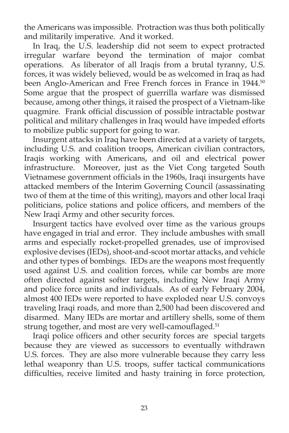the Americans was impossible. Protraction was thus both politically and militarily imperative. And it worked.

In Iraq, the U.S. leadership did not seem to expect protracted irregular warfare beyond the termination of major combat operations. As liberator of all Iraqis from a brutal tyranny, U.S. forces, it was widely believed, would be as welcomed in Iraq as had been Anglo-American and Free French forces in France in 1944.<sup>50</sup> Some argue that the prospect of guerrilla warfare was dismissed because, among other things, it raised the prospect of a Vietnam-like quagmire. Frank official discussion of possible intractable postwar political and military challenges in Iraq would have impeded efforts to mobilize public support for going to war.

Insurgent attacks in Iraq have been directed at a variety of targets, including U.S. and coalition troops, American civilian contractors, Iraqis working with Americans, and oil and electrical power infrastructure. Moreover, just as the Viet Cong targeted South Vietnamese government officials in the 1960s, Iraqi insurgents have attacked members of the Interim Governing Council (assassinating two of them at the time of this writing), mayors and other local Iraqi politicians, police stations and police officers, and members of the New Iraqi Army and other security forces.

Insurgent tactics have evolved over time as the various groups have engaged in trial and error. They include ambushes with small arms and especially rocket-propelled grenades, use of improvised explosive devises (IEDs), shoot-and-scoot mortar attacks, and vehicle and other types of bombings. IEDs are the weapons most frequently used against U.S. and coalition forces, while car bombs are more often directed against softer targets, including New Iraqi Army and police force units and individuals. As of early February 2004, almost 400 IEDs were reported to have exploded near U.S. convoys traveling Iraqi roads, and more than 2,500 had been discovered and disarmed. Many IEDs are mortar and artillery shells, some of them strung together, and most are very well-camouflaged.<sup>51</sup>

Iraqi police officers and other security forces are special targets because they are viewed as successors to eventually withdrawn U.S. forces. They are also more vulnerable because they carry less lethal weaponry than U.S. troops, suffer tactical communications difficulties, receive limited and hasty training in force protection,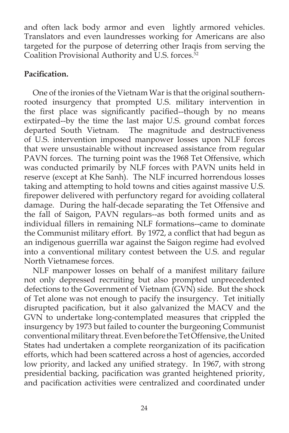and often lack body armor and even lightly armored vehicles. Translators and even laundresses working for Americans are also targeted for the purpose of deterring other Iraqis from serving the Coalition Provisional Authority and U.S. forces.<sup>52</sup>

## Pacification.

One of the ironies of the Vietnam War is that the original southernrooted insurgency that prompted U.S. military intervention in the first place was significantly pacified--though by no means extirpated--by the time the last major U.S. ground combat forces departed South Vietnam. The magnitude and destructiveness of U.S. intervention imposed manpower losses upon NLF forces that were unsustainable without increased assistance from regular PAVN forces. The turning point was the 1968 Tet Offensive, which was conducted primarily by NLF forces with PAVN units held in reserve (except at Khe Sanh). The NLF incurred horrendous losses taking and attempting to hold towns and cities against massive U.S. firepower delivered with perfunctory regard for avoiding collateral damage. During the half-decade separating the Tet Offensive and the fall of Saigon, PAVN regulars--as both formed units and as individual fillers in remaining NLF formations--came to dominate the Communist military effort. By 1972, a conflict that had begun as an indigenous guerrilla war against the Saigon regime had evolved into a conventional military contest between the U.S. and regular North Vietnamese forces.

NLF manpower losses on behalf of a manifest military failure not only depressed recruiting but also prompted unprecedented defections to the Government of Vietnam (GVN) side. But the shock of Tet alone was not enough to pacify the insurgency. Tet initially disrupted pacification, but it also galvanized the MACV and the GVN to undertake long-contemplated measures that crippled the insurgency by 1973 but failed to counter the burgeoning Communist conventional military threat. Even before the Tet Offensive, the United States had undertaken a complete reorganization of its pacification efforts, which had been scattered across a host of agencies, accorded low priority, and lacked any unified strategy. In 1967, with strong presidential backing, pacification was granted heightened priority, and pacification activities were centralized and coordinated under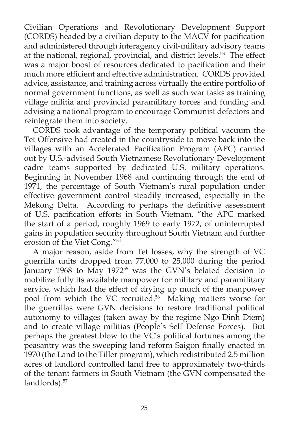Civilian Operations and Revolutionary Development Support (CORDS) headed by a civilian deputy to the MACV for pacification and administered through interagency civil-military advisory teams at the national, regional, provincial, and district levels.<sup>53</sup> The effect was a major boost of resources dedicated to pacification and their much more efficient and effective administration. CORDS provided advice, assistance, and training across virtually the entire portfolio of normal government functions, as well as such war tasks as training village militia and provincial paramilitary forces and funding and advising a national program to encourage Communist defectors and reintegrate them into society.

CORDS took advantage of the temporary political vacuum the Tet Offensive had created in the countryside to move back into the villages with an Accelerated Pacification Program (APC) carried out by U.S.-advised South Vietnamese Revolutionary Development cadre teams supported by dedicated U.S. military operations. Beginning in November 1968 and continuing through the end of 1971, the percentage of South Vietnam's rural population under effective government control steadily increased, especially in the Mekong Delta. According to perhaps the definitive assessment of U.S. pacification efforts in South Vietnam, "the APC marked the start of a period, roughly 1969 to early 1972, of uninterrupted gains in population security throughout South Vietnam and further erosion of the Viet Cong."54

A major reason, aside from Tet losses, why the strength of VC guerrilla units dropped from 77,000 to 25,000 during the period January 1968 to May 1972<sup>55</sup> was the GVN's belated decision to mobilize fully its available manpower for military and paramilitary service, which had the effect of drying up much of the manpower pool from which the VC recruited.<sup>56</sup> Making matters worse for the guerrillas were GVN decisions to restore traditional political autonomy to villages (taken away by the regime Ngo Dinh Diem) and to create village militias (People's Self Defense Forces). But perhaps the greatest blow to the  $V\bar{C}$ 's political fortunes among the peasantry was the sweeping land reform Saigon finally enacted in 1970 (the Land to the Tiller program), which redistributed 2.5 million acres of landlord controlled land free to approximately two-thirds of the tenant farmers in South Vietnam (the GVN compensated the landlords).<sup>57</sup>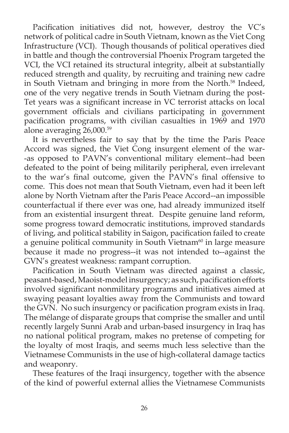Pacification initiatives did not, however, destroy the VC's network of political cadre in South Vietnam, known as the Viet Cong Infrastructure (VCI). Though thousands of political operatives died in battle and though the controversial Phoenix Program targeted the VCI, the VCI retained its structural integrity, albeit at substantially reduced strength and quality, by recruiting and training new cadre in South Vietnam and bringing in more from the North.<sup>58</sup> Indeed, one of the very negative trends in South Vietnam during the post-Tet years was a significant increase in VC terrorist attacks on local government officials and civilians participating in government pacification programs, with civilian casualties in 1969 and 1970 alone averaging 26,000.59

It is nevertheless fair to say that by the time the Paris Peace Accord was signed, the Viet Cong insurgent element of the war- -as opposed to PAVN's conventional military element--had been defeated to the point of being militarily peripheral, even irrelevant to the war's final outcome, given the PAVN's final offensive to come. This does not mean that South Vietnam, even had it been left alone by North Vietnam after the Paris Peace Accord--an impossible counterfactual if there ever was one, had already immunized itself from an existential insurgent threat. Despite genuine land reform, some progress toward democratic institutions, improved standards of living, and political stability in Saigon, pacification failed to create a genuine political community in South Vietnam $60$  in large measure because it made no progress--it was not intended to--against the GVN's greatest weakness: rampant corruption.

Pacification in South Vietnam was directed against a classic, peasant-based, Maoist-model insurgency; as such, pacification efforts involved significant nonmilitary programs and initiatives aimed at swaying peasant loyalties away from the Communists and toward the GVN. No such insurgency or pacification program exists in Iraq. The mélange of disparate groups that comprise the smaller and until recently largely Sunni Arab and urban-based insurgency in Iraq has no national political program, makes no pretense of competing for the loyalty of most Iraqis, and seems much less selective than the Vietnamese Communists in the use of high-collateral damage tactics and weaponry.

These features of the Iraqi insurgency, together with the absence of the kind of powerful external allies the Vietnamese Communists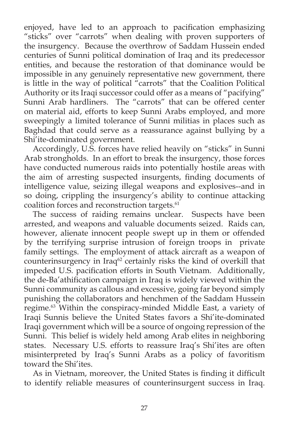enjoyed, have led to an approach to pacification emphasizing "sticks" over "carrots" when dealing with proven supporters of the insurgency. Because the overthrow of Saddam Hussein ended centuries of Sunni political domination of Iraq and its predecessor entities, and because the restoration of that dominance would be impossible in any genuinely representative new government, there is little in the way of political "carrots" that the Coalition Political Authority or its Iraqi successor could offer as a means of "pacifying" Sunni Arab hardliners. The "carrots" that can be offered center on material aid, efforts to keep Sunni Arabs employed, and more sweepingly a limited tolerance of Sunni militias in places such as Baghdad that could serve as a reassurance against bullying by a Shi'ite-dominated government.

Accordingly, U.S. forces have relied heavily on "sticks" in Sunni Arab strongholds. In an effort to break the insurgency, those forces have conducted numerous raids into potentially hostile areas with the aim of arresting suspected insurgents, finding documents of intelligence value, seizing illegal weapons and explosives--and in so doing, crippling the insurgency's ability to continue attacking coalition forces and reconstruction targets.<sup>61</sup>

The success of raiding remains unclear. Suspects have been arrested, and weapons and valuable documents seized. Raids can, however, alienate innocent people swept up in them or offended by the terrifying surprise intrusion of foreign troops in private family settings. The employment of attack aircraft as a weapon of counterinsurgency in Iraq<sup>62</sup> certainly risks the kind of overkill that impeded U.S. pacification efforts in South Vietnam. Additionally, the de-Ba'athification campaign in Iraq is widely viewed within the Sunni community as callous and excessive, going far beyond simply punishing the collaborators and henchmen of the Saddam Hussein regime.<sup>63</sup> Within the conspiracy-minded Middle East, a variety of Iraqi Sunnis believe the United States favors a Shi'ite-dominated Iraqi government which will be a source of ongoing repression of the Sunni. This belief is widely held among Arab elites in neighboring states. Necessary U.S. efforts to reassure Iraq's Shi'ites are often misinterpreted by Iraq's Sunni Arabs as a policy of favoritism toward the Shi'ites.

As in Vietnam, moreover, the United States is finding it difficult to identify reliable measures of counterinsurgent success in Iraq.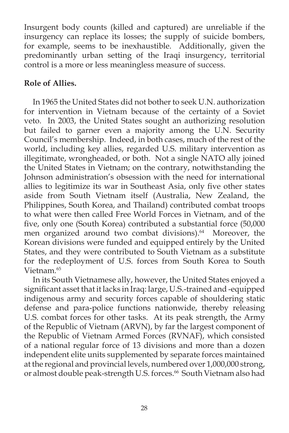Insurgent body counts (killed and captured) are unreliable if the insurgency can replace its losses; the supply of suicide bombers, for example, seems to be inexhaustible. Additionally, given the predominantly urban setting of the Iraqi insurgency, territorial control is a more or less meaningless measure of success.

# **Role of Allies.**

In 1965 the United States did not bother to seek U.N. authorization for intervention in Vietnam because of the certainty of a Soviet veto. In 2003, the United States sought an authorizing resolution but failed to garner even a majority among the U.N. Security Council's membership. Indeed, in both cases, much of the rest of the world, including key allies, regarded U.S. military intervention as illegitimate, wrongheaded, or both. Not a single NATO ally joined the United States in Vietnam; on the contrary, notwithstanding the Johnson administration's obsession with the need for international allies to legitimize its war in Southeast Asia, only five other states aside from South Vietnam itself (Australia, New Zealand, the Philippines, South Korea, and Thailand) contributed combat troops to what were then called Free World Forces in Vietnam, and of the five, only one (South Korea) contributed a substantial force (50,000 men organized around two combat divisions).<sup>64</sup> Moreover, the Korean divisions were funded and equipped entirely by the United States, and they were contributed to South Vietnam as a substitute for the redeployment of U.S. forces from South Korea to South Vietnam.<sup>65</sup>

In its South Vietnamese ally, however, the United States enjoyed a significant asset that it lacks in Iraq: large, U.S.-trained and -equipped indigenous army and security forces capable of shouldering static defense and para-police functions nationwide, thereby releasing U.S. combat forces for other tasks. At its peak strength, the Army of the Republic of Vietnam (ARVN), by far the largest component of the Republic of Vietnam Armed Forces (RVNAF), which consisted of a national regular force of 13 divisions and more than a dozen independent elite units supplemented by separate forces maintained at the regional and provincial levels, numbered over 1,000,000 strong, or almost double peak-strength U.S. forces.<sup>66</sup> South Vietnam also had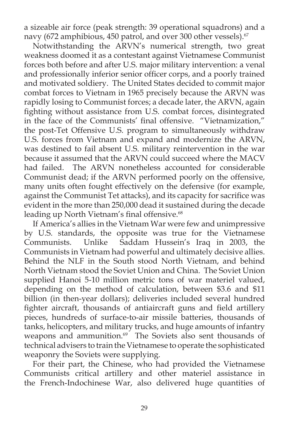a sizeable air force (peak strength: 39 operational squadrons) and a navy (672 amphibious, 450 patrol, and over 300 other vessels).<sup>67</sup>

Notwithstanding the ARVN's numerical strength, two great weakness doomed it as a contestant against Vietnamese Communist forces both before and after U.S. major military intervention: a venal and professionally inferior senior officer corps, and a poorly trained and motivated soldiery. The United States decided to commit major combat forces to Vietnam in 1965 precisely because the ARVN was rapidly losing to Communist forces; a decade later, the ARVN, again fighting without assistance from U.S. combat forces, disintegrated in the face of the Communists' final offensive. "Vietnamization," the post-Tet Offensive U.S. program to simultaneously withdraw U.S. forces from Vietnam and expand and modernize the ARVN, was destined to fail absent U.S. military reintervention in the war because it assumed that the ARVN could succeed where the MACV had failed. The ARVN nonetheless accounted for considerable Communist dead; if the ARVN performed poorly on the offensive, many units often fought effectively on the defensive (for example, against the Communist Tet attacks), and its capacity for sacrifice was evident in the more than 250,000 dead it sustained during the decade leading up North Vietnam's final offensive.<sup>68</sup>

If America's allies in the Vietnam War were few and unimpressive by U.S. standards, the opposite was true for the Vietnamese Communists. Unlike Saddam Hussein's Iraq in 2003, the Communists in Vietnam had powerful and ultimately decisive allies. Behind the NLF in the South stood North Vietnam, and behind North Vietnam stood the Soviet Union and China. The Soviet Union supplied Hanoi 5-10 million metric tons of war materiel valued, depending on the method of calculation, between \$3.6 and \$11 billion (in then-year dollars); deliveries included several hundred fighter aircraft, thousands of antiaircraft guns and field artillery pieces, hundreds of surface-to-air missile batteries, thousands of tanks, helicopters, and military trucks, and huge amounts of infantry weapons and ammunition.<sup>69</sup> The Soviets also sent thousands of technical advisers to train the Vietnamese to operate the sophisticated weaponry the Soviets were supplying.

For their part, the Chinese, who had provided the Vietnamese Communists critical artillery and other materiel assistance in the French-Indochinese War, also delivered huge quantities of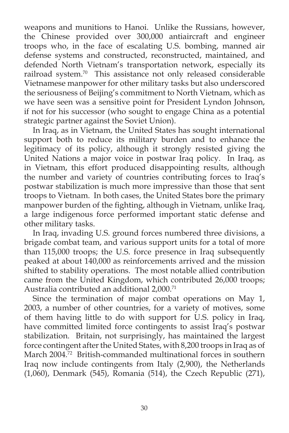weapons and munitions to Hanoi. Unlike the Russians, however, the Chinese provided over 300,000 antiaircraft and engineer troops who, in the face of escalating U.S. bombing, manned air defense systems and constructed, reconstructed, maintained, and defended North Vietnam's transportation network, especially its railroad system.70 This assistance not only released considerable Vietnamese manpower for other military tasks but also underscored the seriousness of Beijing's commitment to North Vietnam, which as we have seen was a sensitive point for President Lyndon Johnson, if not for his successor (who sought to engage China as a potential strategic partner against the Soviet Union).

In Iraq, as in Vietnam, the United States has sought international support both to reduce its military burden and to enhance the legitimacy of its policy, although it strongly resisted giving the United Nations a major voice in postwar Iraq policy. In Iraq, as in Vietnam, this effort produced disappointing results, although the number and variety of countries contributing forces to Iraq's postwar stabilization is much more impressive than those that sent troops to Vietnam. In both cases, the United States bore the primary manpower burden of the fighting, although in Vietnam, unlike Iraq, a large indigenous force performed important static defense and other military tasks.

In Iraq, invading U.S. ground forces numbered three divisions, a brigade combat team, and various support units for a total of more than 115,000 troops; the U.S. force presence in Iraq subsequently peaked at about 140,000 as reinforcements arrived and the mission shifted to stability operations. The most notable allied contribution came from the United Kingdom, which contributed 26,000 troops; Australia contributed an additional 2,000.<sup>71</sup>

Since the termination of major combat operations on May 1, 2003, a number of other countries, for a variety of motives, some of them having little to do with support for U.S. policy in Iraq, have committed limited force contingents to assist Iraq's postwar stabilization. Britain, not surprisingly, has maintained the largest force contingent after the United States, with 8,200 troops in Iraq as of March 2004.<sup>72</sup> British-commanded multinational forces in southern Iraq now include contingents from Italy (2,900), the Netherlands (1,060), Denmark (545), Romania (514), the Czech Republic (271),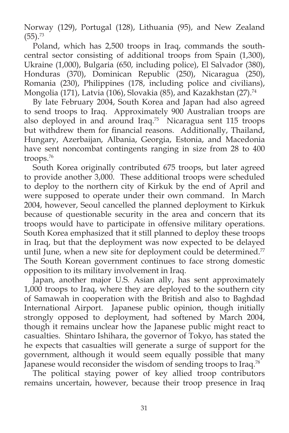Norway (129), Portugal (128), Lithuania (95), and New Zealand  $(55).^{73}$ 

Poland, which has 2,500 troops in Iraq, commands the southcentral sector consisting of additional troops from Spain (1,300), Ukraine (1,000), Bulgaria (650, including police), El Salvador (380), Honduras (370), Dominican Republic (250), Nicaragua (250), Romania (230), Philippines (178, including police and civilians), Mongolia (171), Latvia (106), Slovakia (85), and Kazakhstan (27).<sup>74</sup>

By late February 2004, South Korea and Japan had also agreed to send troops to Iraq. Approximately 900 Australian troops are also deployed in and around Iraq.<sup>75</sup> Nicaragua sent 115 troops but withdrew them for financial reasons. Additionally, Thailand, Hungary, Azerbaijan, Albania, Georgia, Estonia, and Macedonia have sent noncombat contingents ranging in size from 28 to 400 troops.76

South Korea originally contributed 675 troops, but later agreed to provide another 3,000. These additional troops were scheduled to deploy to the northern city of Kirkuk by the end of April and were supposed to operate under their own command. In March 2004, however, Seoul cancelled the planned deployment to Kirkuk because of questionable security in the area and concern that its troops would have to participate in offensive military operations. South Korea emphasized that it still planned to deploy these troops in Iraq, but that the deployment was now expected to be delayed until June, when a new site for deployment could be determined. $77$ The South Korean government continues to face strong domestic opposition to its military involvement in Iraq.

Japan, another major U.S. Asian ally, has sent approximately 1,000 troops to Iraq, where they are deployed to the southern city of Samawah in cooperation with the British and also to Baghdad International Airport. Japanese public opinion, though initially strongly opposed to deployment, had softened by March 2004, though it remains unclear how the Japanese public might react to casualties. Shintaro Ishihara, the governor of Tokyo, has stated the he expects that casualties will generate a surge of support for the government, although it would seem equally possible that many Japanese would reconsider the wisdom of sending troops to Iraq.<sup>78</sup>

The political staying power of key allied troop contributors remains uncertain, however, because their troop presence in Iraq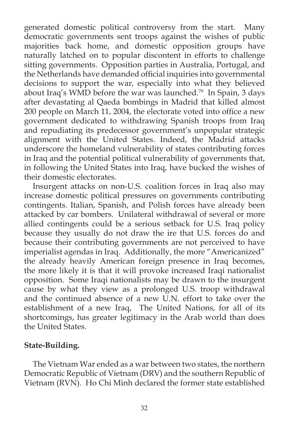generated domestic political controversy from the start. Many democratic governments sent troops against the wishes of public majorities back home, and domestic opposition groups have naturally latched on to popular discontent in efforts to challenge sitting governments. Opposition parties in Australia, Portugal, and the Netherlands have demanded official inquiries into governmental decisions to support the war, especially into what they believed about Iraq's WMD before the war was launched.<sup>79</sup> In Spain, 3 days after devastating al Qaeda bombings in Madrid that killed almost 200 people on March 11, 2004, the electorate voted into office a new government dedicated to withdrawing Spanish troops from Iraq and repudiating its predecessor government's unpopular strategic alignment with the United States. Indeed, the Madrid attacks underscore the homeland vulnerability of states contributing forces in Iraq and the potential political vulnerability of governments that, in following the United States into Iraq, have bucked the wishes of their domestic electorates.

Insurgent attacks on non-U.S. coalition forces in Iraq also may increase domestic political pressures on governments contributing contingents. Italian, Spanish, and Polish forces have already been attacked by car bombers. Unilateral withdrawal of several or more allied contingents could be a serious setback for U.S. Iraq policy because they usually do not draw the ire that U.S. forces do and because their contributing governments are not perceived to have imperialist agendas in Iraq. Additionally, the more "Americanized" the already heavily American foreign presence in Iraq becomes, the more likely it is that it will provoke increased Iraqi nationalist opposition. Some Iraqi nationalists may be drawn to the insurgent cause by what they view as a prolonged U.S. troop withdrawal and the continued absence of a new U.N. effort to take over the establishment of a new Iraq, The United Nations, for all of its shortcomings, has greater legitimacy in the Arab world than does the United States.

### **State-Building.**

The Vietnam War ended as a war between two states, the northern Democratic Republic of Vietnam (DRV) and the southern Republic of Vietnam (RVN). Ho Chi Minh declared the former state established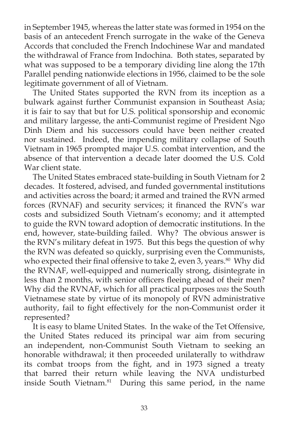in September 1945, whereas the latter state was formed in 1954 on the basis of an antecedent French surrogate in the wake of the Geneva Accords that concluded the French Indochinese War and mandated the withdrawal of France from Indochina. Both states, separated by what was supposed to be a temporary dividing line along the 17th Parallel pending nationwide elections in 1956, claimed to be the sole legitimate government of all of Vietnam.

The United States supported the RVN from its inception as a bulwark against further Communist expansion in Southeast Asia; it is fair to say that but for U.S. political sponsorship and economic and military largesse, the anti-Communist regime of President Ngo Dinh Diem and his successors could have been neither created nor sustained. Indeed, the impending military collapse of South Vietnam in 1965 prompted major U.S. combat intervention, and the absence of that intervention a decade later doomed the U.S. Cold War client state.

The United States embraced state-building in South Vietnam for 2 decades. It fostered, advised, and funded governmental institutions and activities across the board; it armed and trained the RVN armed forces (RVNAF) and security services; it financed the RVN's war costs and subsidized South Vietnam's economy; and it attempted to guide the RVN toward adoption of democratic institutions. In the end, however, state-building failed. Why? The obvious answer is the RVN's military defeat in 1975. But this begs the question of why the RVN was defeated so quickly, surprising even the Communists, who expected their final offensive to take 2, even 3, years.<sup>80</sup> Why did the RVNAF, well-equipped and numerically strong, disintegrate in less than 2 months, with senior officers fleeing ahead of their men? Why did the RVNAF, which for all practical purposes *was* the South Vietnamese state by virtue of its monopoly of RVN administrative authority, fail to fight effectively for the non-Communist order it represented?

It is easy to blame United States. In the wake of the Tet Offensive, the United States reduced its principal war aim from securing an independent, non-Communist South Vietnam to seeking an honorable withdrawal; it then proceeded unilaterally to withdraw its combat troops from the fight, and in 1973 signed a treaty that barred their return while leaving the NVA undisturbed inside South Vietnam.<sup>81</sup> During this same period, in the name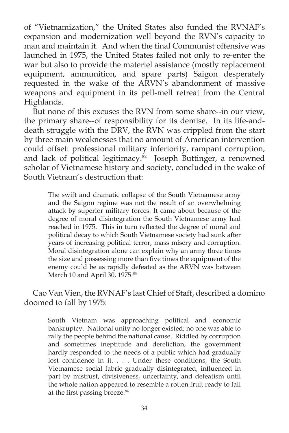of "Vietnamization," the United States also funded the RVNAF's expansion and modernization well beyond the RVN's capacity to man and maintain it. And when the final Communist offensive was launched in 1975, the United States failed not only to re-enter the war but also to provide the materiel assistance (mostly replacement equipment, ammunition, and spare parts) Saigon desperately requested in the wake of the ARVN's abandonment of massive weapons and equipment in its pell-mell retreat from the Central Highlands.

But none of this excuses the RVN from some share--in our view, the primary share--of responsibility for its demise. In its life-anddeath struggle with the DRV, the RVN was crippled from the start by three main weaknesses that no amount of American intervention could offset: professional military inferiority, rampant corruption, and lack of political legitimacy.<sup>82</sup> Joseph Buttinger, a renowned scholar of Vietnamese history and society, concluded in the wake of South Vietnam's destruction that:

The swift and dramatic collapse of the South Vietnamese army and the Saigon regime was not the result of an overwhelming attack by superior military forces. It came about because of the degree of moral disintegration the South Vietnamese army had reached in 1975. This in turn reflected the degree of moral and political decay to which South Vietnamese society had sunk after years of increasing political terror, mass misery and corruption. Moral disintegration alone can explain why an army three times the size and possessing more than five times the equipment of the enemy could be as rapidly defeated as the ARVN was between March 10 and April 30, 1975.<sup>83</sup>

Cao Van Vien, the RVNAF's last Chief of Staff, described a domino doomed to fall by 1975:

South Vietnam was approaching political and economic bankruptcy. National unity no longer existed; no one was able to rally the people behind the national cause. Riddled by corruption and sometimes ineptitude and dereliction, the government hardly responded to the needs of a public which had gradually lost confidence in it. . . . Under these conditions, the South Vietnamese social fabric gradually disintegrated, influenced in part by mistrust, divisiveness, uncertainty, and defeatism until the whole nation appeared to resemble a rotten fruit ready to fall at the first passing breeze.<sup>84</sup>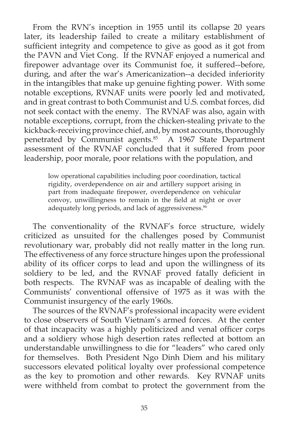From the RVN's inception in 1955 until its collapse 20 years later, its leadership failed to create a military establishment of sufficient integrity and competence to give as good as it got from the PAVN and Viet Cong. If the RVNAF enjoyed a numerical and firepower advantage over its Communist foe, it suffered--before, during, and after the war's Americanization--a decided inferiority in the intangibles that make up genuine fighting power. With some notable exceptions, RVNAF units were poorly led and motivated, and in great contrast to both Communist and U.S. combat forces, did not seek contact with the enemy. The RVNAF was also, again with notable exceptions, corrupt, from the chicken-stealing private to the kickback-receiving province chief, and, by most accounts, thoroughly penetrated by Communist agents.<sup>85</sup> A 1967 State Department assessment of the RVNAF concluded that it suffered from poor leadership, poor morale, poor relations with the population, and

low operational capabilities including poor coordination, tactical rigidity, overdependence on air and artillery support arising in part from inadequate firepower, overdependence on vehicular convoy, unwillingness to remain in the field at night or over adequately long periods, and lack of aggressiveness.<sup>86</sup>

The conventionality of the RVNAF's force structure, widely criticized as unsuited for the challenges posed by Communist revolutionary war, probably did not really matter in the long run. The effectiveness of any force structure hinges upon the professional ability of its officer corps to lead and upon the willingness of its soldiery to be led, and the RVNAF proved fatally deficient in both respects. The RVNAF was as incapable of dealing with the Communists' conventional offensive of 1975 as it was with the Communist insurgency of the early 1960s.

The sources of the RVNAF's professional incapacity were evident to close observers of South Vietnam's armed forces. At the center of that incapacity was a highly politicized and venal officer corps and a soldiery whose high desertion rates reflected at bottom an understandable unwillingness to die for "leaders" who cared only for themselves. Both President Ngo Dinh Diem and his military successors elevated political loyalty over professional competence as the key to promotion and other rewards. Key RVNAF units were withheld from combat to protect the government from the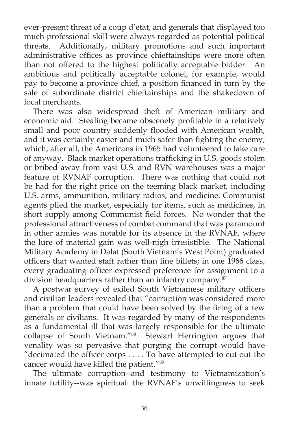ever-present threat of a coup d'etat, and generals that displayed too much professional skill were always regarded as potential political threats. Additionally, military promotions and such important administrative offices as province chieftainships were more often than not offered to the highest politically acceptable bidder. An ambitious and politically acceptable colonel, for example, would pay to become a province chief, a position financed in turn by the sale of subordinate district chieftainships and the shakedown of local merchants.

There was also widespread theft of American military and economic aid. Stealing became obscenely profitable in a relatively small and poor country suddenly flooded with American wealth, and it was certainly easier and much safer than fighting the enemy, which, after all, the Americans in 1965 had volunteered to take care of anyway. Black market operations trafficking in U.S. goods stolen or bribed away from vast U.S. and RVN warehouses was a major feature of RVNAF corruption. There was nothing that could not be had for the right price on the teeming black market, including U.S. arms, ammunition, military radios, and medicine. Communist agents plied the market, especially for items, such as medicines, in short supply among Communist field forces. No wonder that the professional attractiveness of combat command that was paramount in other armies was notable for its absence in the RVNAF, where the lure of material gain was well-nigh irresistible. The National Military Academy in Dalat (South Vietnam's West Point) graduated officers that wanted staff rather than line billets; in one 1966 class, every graduating officer expressed preference for assignment to a division headquarters rather than an infantry company.<sup>87</sup>

A postwar survey of exiled South Vietnamese military officers and civilian leaders revealed that "corruption was considered more than a problem that could have been solved by the firing of a few generals or civilians. It was regarded by many of the respondents as a fundamental ill that was largely responsible for the ultimate collapse of South Vietnam."88 Stewart Herrington argues that venality was so pervasive that purging the corrupt would have "decimated the officer corps  $\dots$ . To have attempted to cut out the cancer would have killed the patient."89

The ultimate corruption--and testimony to Vietnamization's innate futility--was spiritual: the RVNAF's unwillingness to seek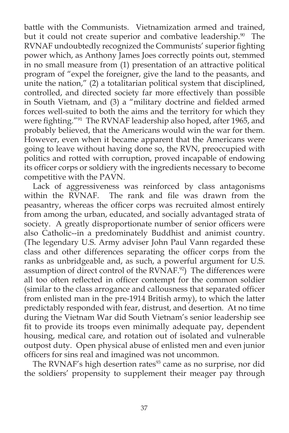battle with the Communists. Vietnamization armed and trained, but it could not create superior and combative leadership.<sup>90</sup> The RVNAF undoubtedly recognized the Communists' superior fighting power which, as Anthony James Joes correctly points out, stemmed in no small measure from (1) presentation of an attractive political program of "expel the foreigner, give the land to the peasants, and unite the nation," (2) a totalitarian political system that disciplined, controlled, and directed society far more effectively than possible in South Vietnam, and (3) a "military doctrine and fielded armed forces well-suited to both the aims and the territory for which they were fighting."<sup>91</sup> The RVNAF leadership also hoped, after 1965, and probably believed, that the Americans would win the war for them. However, even when it became apparent that the Americans were going to leave without having done so, the RVN, preoccupied with politics and rotted with corruption, proved incapable of endowing its officer corps or soldiery with the ingredients necessary to become competitive with the PAVN.

Lack of aggressiveness was reinforced by class antagonisms within the  $\widetilde{RV}$ NAF. The rank and file was drawn from the peasantry, whereas the officer corps was recruited almost entirely from among the urban, educated, and socially advantaged strata of society. A greatly disproportionate number of senior officers were also Catholic--in a predominately Buddhist and animist country. (The legendary U.S. Army adviser John Paul Vann regarded these class and other differences separating the officer corps from the ranks as unbridgeable and, as such, a powerful argument for U.S. assumption of direct control of the RVNAF.<sup>92</sup>) The differences were all too often reflected in officer contempt for the common soldier (similar to the class arrogance and callousness that separated officer from enlisted man in the pre-1914 British army), to which the latter predictably responded with fear, distrust, and desertion. At no time during the Vietnam War did South Vietnam's senior leadership see fit to provide its troops even minimally adequate pay, dependent housing, medical care, and rotation out of isolated and vulnerable outpost duty. Open physical abuse of enlisted men and even junior officers for sins real and imagined was not uncommon.

The RVNAF's high desertion rates<sup>93</sup> came as no surprise, nor did the soldiers' propensity to supplement their meager pay through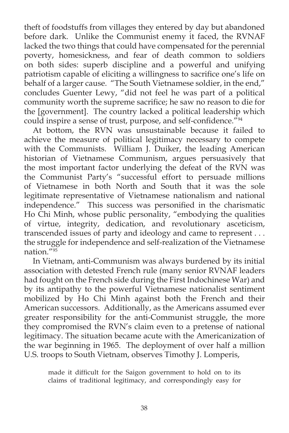theft of foodstuffs from villages they entered by day but abandoned before dark. Unlike the Communist enemy it faced, the RVNAF lacked the two things that could have compensated for the perennial poverty, homesickness, and fear of death common to soldiers on both sides: superb discipline and a powerful and unifying patriotism capable of eliciting a willingness to sacrifice one's life on behalf of a larger cause. "The South Vietnamese soldier, in the end," concludes Guenter Lewy, "did not feel he was part of a political community worth the supreme sacrifice; he saw no reason to die for the [government]. The country lacked a political leadership which could inspire a sense of trust, purpose, and self-confidence.<sup>"94</sup>

At bottom, the RVN was unsustainable because it failed to achieve the measure of political legitimacy necessary to compete with the Communists. William J. Duiker, the leading American historian of Vietnamese Communism, argues persuasively that the most important factor underlying the defeat of the RVN was the Communist Party's "successful effort to persuade millions of Vietnamese in both North and South that it was the sole legitimate representative of Vietnamese nationalism and national independence." This success was personified in the charismatic Ho Chi Minh, whose public personality, "embodying the qualities of virtue, integrity, dedication, and revolutionary asceticism, transcended issues of party and ideology and came to represent . . . the struggle for independence and self-realization of the Vietnamese nation $\frac{1}{195}$ 

In Vietnam, anti-Communism was always burdened by its initial association with detested French rule (many senior RVNAF leaders had fought on the French side during the First Indochinese War) and by its antipathy to the powerful Vietnamese nationalist sentiment mobilized by Ho Chi Minh against both the French and their American successors. Additionally, as the Americans assumed ever greater responsibility for the anti-Communist struggle, the more they compromised the RVN's claim even to a pretense of national legitimacy. The situation became acute with the Americanization of the war beginning in 1965. The deployment of over half a million U.S. troops to South Vietnam, observes Timothy J. Lomperis,

made it difficult for the Saigon government to hold on to its claims of traditional legitimacy, and correspondingly easy for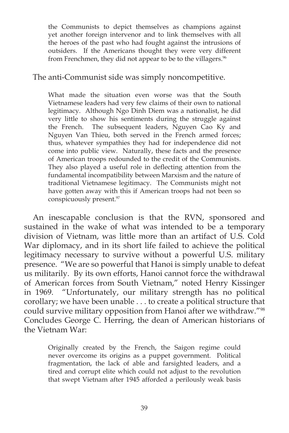the Communists to depict themselves as champions against yet another foreign intervenor and to link themselves with all the heroes of the past who had fought against the intrusions of outsiders. If the Americans thought they were very different from Frenchmen, they did not appear to be to the villagers.<sup>96</sup>

#### The anti-Communist side was simply noncompetitive.

What made the situation even worse was that the South Vietnamese leaders had very few claims of their own to national legitimacy. Although Ngo Dinh Diem was a nationalist, he did very little to show his sentiments during the struggle against the French. The subsequent leaders, Nguyen Cao Ky and Nguyen Van Thieu, both served in the French armed forces; thus, whatever sympathies they had for independence did not come into public view. Naturally, these facts and the presence of American troops redounded to the credit of the Communists. They also played a useful role in deflecting attention from the fundamental incompatibility between Marxism and the nature of traditional Vietnamese legitimacy. The Communists might not have gotten away with this if American troops had not been so conspicuously present.<sup>97</sup>

An inescapable conclusion is that the RVN, sponsored and sustained in the wake of what was intended to be a temporary division of Vietnam, was little more than an artifact of U.S. Cold War diplomacy, and in its short life failed to achieve the political legitimacy necessary to survive without a powerful U.S. military presence. "We are so powerful that Hanoi is simply unable to defeat us militarily. By its own efforts, Hanoi cannot force the withdrawal of American forces from South Vietnam," noted Henry Kissinger in 1969. "Unfortunately, our military strength has no political corollary; we have been unable . . . to create a political structure that could survive military opposition from Hanoi after we withdraw."98 Concludes George C. Herring, the dean of American historians of the Vietnam War:

Originally created by the French, the Saigon regime could never overcome its origins as a puppet government. Political fragmentation, the lack of able and farsighted leaders, and a tired and corrupt elite which could not adjust to the revolution that swept Vietnam after 1945 afforded a perilously weak basis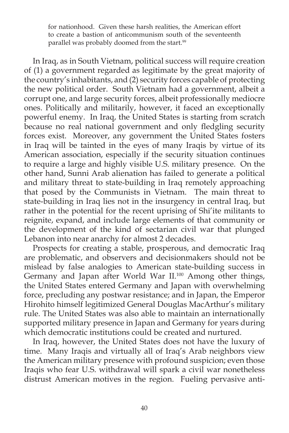for nationhood. Given these harsh realities, the American effort to create a bastion of anticommunism south of the seventeenth parallel was probably doomed from the start.<sup>99</sup>

In Iraq, as in South Vietnam, political success will require creation of (1) a government regarded as legitimate by the great majority of the country's inhabitants, and (2) security forces capable of protecting the new political order. South Vietnam had a government, albeit a corrupt one, and large security forces, albeit professionally mediocre ones. Politically and militarily, however, it faced an exceptionally powerful enemy. In Iraq, the United States is starting from scratch because no real national government and only fledgling security forces exist. Moreover, any government the United States fosters in Iraq will be tainted in the eyes of many Iraqis by virtue of its American association, especially if the security situation continues to require a large and highly visible U.S. military presence. On the other hand, Sunni Arab alienation has failed to generate a political and military threat to state-building in Iraq remotely approaching that posed by the Communists in Vietnam. The main threat to state-building in Iraq lies not in the insurgency in central Iraq, but rather in the potential for the recent uprising of Shi'ite militants to reignite, expand, and include large elements of that community or the development of the kind of sectarian civil war that plunged Lebanon into near anarchy for almost 2 decades.

Prospects for creating a stable, prosperous, and democratic Iraq are problematic, and observers and decisionmakers should not be mislead by false analogies to American state-building success in Germany and Japan after World War II.<sup>100</sup> Among other things, the United States entered Germany and Japan with overwhelming force, precluding any postwar resistance; and in Japan, the Emperor Hirohito himself legitimized General Douglas MacArthur's military rule. The United States was also able to maintain an internationally supported military presence in Japan and Germany for years during which democratic institutions could be created and nurtured.

In Iraq, however, the United States does not have the luxury of time. Many Iraqis and virtually all of Iraq's Arab neighbors view the American military presence with profound suspicion; even those Iraqis who fear U.S. withdrawal will spark a civil war nonetheless distrust American motives in the region. Fueling pervasive anti-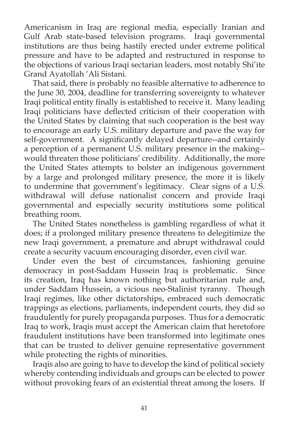Americanism in Iraq are regional media, especially Iranian and Gulf Arab state-based television programs. Iraqi governmental institutions are thus being hastily erected under extreme political pressure and have to be adapted and restructured in response to the objections of various Iraqi sectarian leaders, most notably Shi'ite Grand Ayatollah 'Ali Sistani.

That said, there is probably no feasible alternative to adherence to the June 30, 2004, deadline for transferring sovereignty to whatever Iraqi political entity finally is established to receive it. Many leading Iraqi politicians have deflected criticism of their cooperation with the United States by claiming that such cooperation is the best way to encourage an early U.S. military departure and pave the way for self-government. A significantly delayed departure--and certainly a perception of a permanent U.S. military presence in the making- would threaten those politicians' credibility. Additionally, the more the United States attempts to bolster an indigenous government by a large and prolonged military presence, the more it is likely to undermine that government's legitimacy. Clear signs of a U.S. withdrawal will defuse nationalist concern and provide Iraqi governmental and especially security institutions some political breathing room.

The United States nonetheless is gambling regardless of what it does; if a prolonged military presence threatens to delegitimize the new Iraqi government, a premature and abrupt withdrawal could create a security vacuum encouraging disorder, even civil war.

Under even the best of circumstances, fashioning genuine democracy in post-Saddam Hussein Iraq is problematic. Since its creation, Iraq has known nothing but authoritarian rule and, under Saddam Hussein, a vicious neo-Stalinist tyranny. Though Iraqi regimes, like other dictatorships, embraced such democratic trappings as elections, parliaments, independent courts, they did so fraudulently for purely propaganda purposes. Thus for a democratic Iraq to work, Iraqis must accept the American claim that heretofore fraudulent institutions have been transformed into legitimate ones that can be trusted to deliver genuine representative government while protecting the rights of minorities.

Iraqis also are going to have to develop the kind of political society whereby contending individuals and groups can be elected to power without provoking fears of an existential threat among the losers. If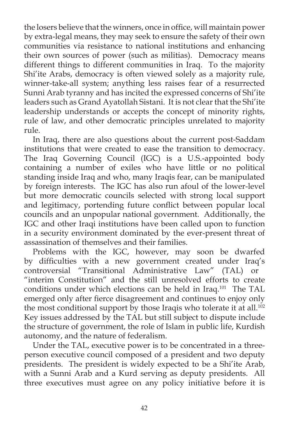the losers believe that the winners, once in office, will maintain power by extra-legal means, they may seek to ensure the safety of their own communities via resistance to national institutions and enhancing their own sources of power (such as militias). Democracy means different things to different communities in Iraq. To the majority Shi'ite Arabs, democracy is often viewed solely as a majority rule, winner-take-all system; anything less raises fear of a resurrected Sunni Arab tyranny and has incited the expressed concerns of Shi'ite leaders such as Grand Ayatollah Sistani. It is not clear that the Shi'ite leadership understands or accepts the concept of minority rights, rule of law, and other democratic principles unrelated to majority rule.

In Iraq, there are also questions about the current post-Saddam institutions that were created to ease the transition to democracy. The Iraq Governing Council (IGC) is a U.S.-appointed body containing a number of exiles who have little or no political standing inside Iraq and who, many Iraqis fear, can be manipulated by foreign interests. The IGC has also run afoul of the lower-level but more democratic councils selected with strong local support and legitimacy, portending future conflict between popular local councils and an unpopular national government. Additionally, the IGC and other Iraqi institutions have been called upon to function in a security environment dominated by the ever-present threat of assassination of themselves and their families.

Problems with the IGC, however, may soon be dwarfed by difficulties with a new government created under Iraq's controversial "Transitional Administrative Law" (TAL) or "interim Constitution" and the still unresolved efforts to create conditions under which elections can be held in Iraq. 101 The TAL emerged only after fierce disagreement and continues to enjoy only the most conditional support by those Iraqis who tolerate it at all.<sup>102</sup> Key issues addressed by the TAL but still subject to dispute include the structure of government, the role of Islam in public life, Kurdish autonomy, and the nature of federalism.

Under the TAL, executive power is to be concentrated in a threeperson executive council composed of a president and two deputy presidents. The president is widely expected to be a Shi'ite Arab, with a Sunni Arab and a Kurd serving as deputy presidents. All three executives must agree on any policy initiative before it is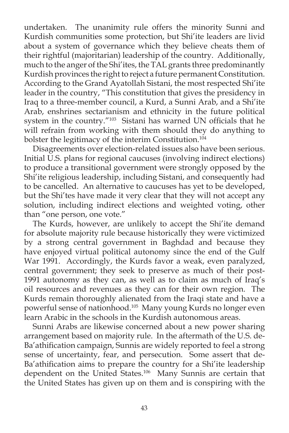undertaken. The unanimity rule offers the minority Sunni and Kurdish communities some protection, but Shi'ite leaders are livid about a system of governance which they believe cheats them of their rightful (majoritarian) leadership of the country. Additionally, much to the anger of the Shi'ites, the TAL grants three predominantly Kurdish provinces the right to reject a future permanent Constitution. According to the Grand Ayatollah Sistani, the most respected Shi'ite leader in the country, "This constitution that gives the presidency in Iraq to a three-member council, a Kurd, a Sunni Arab, and a Shi'ite Arab, enshrines sectarianism and ethnicity in the future political system in the country."<sup>103</sup> Sistani has warned UN officials that he will refrain from working with them should they do anything to bolster the legitimacy of the interim Constitution.<sup>104</sup>

Disagreements over election-related issues also have been serious. Initial U.S. plans for regional caucuses (involving indirect elections) to produce a transitional government were strongly opposed by the Shi'ite religious leadership, including Sistani, and consequently had to be cancelled. An alternative to caucuses has yet to be developed, but the Shi'tes have made it very clear that they will not accept any solution, including indirect elections and weighted voting, other than "one person, one vote."

The Kurds, however, are unlikely to accept the Shi'ite demand for absolute majority rule because historically they were victimized by a strong central government in Baghdad and because they have enjoyed virtual political autonomy since the end of the Gulf War 1991. Accordingly, the Kurds favor a weak, even paralyzed, central government; they seek to preserve as much of their post-1991 autonomy as they can, as well as to claim as much of Iraq's oil resources and revenues as they can for their own region. The Kurds remain thoroughly alienated from the Iraqi state and have a powerful sense of nationhood.105 Many young Kurds no longer even learn Arabic in the schools in the Kurdish autonomous areas.

Sunni Arabs are likewise concerned about a new power sharing arrangement based on majority rule. In the aftermath of the U.S. de-Ba'athification campaign, Sunnis are widely reported to feel a strong sense of uncertainty, fear, and persecution. Some assert that de-Ba'athification aims to prepare the country for a Shi'ite leadership dependent on the United States.<sup>106</sup> Many Sunnis are certain that the United States has given up on them and is conspiring with the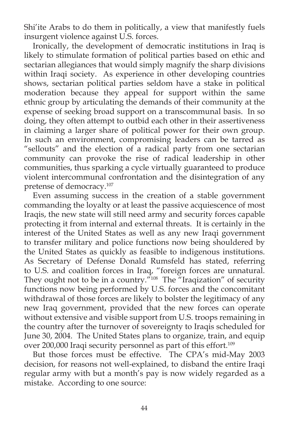Shi'ite Arabs to do them in politically, a view that manifestly fuels insurgent violence against U.S. forces.

Ironically, the development of democratic institutions in Iraq is likely to stimulate formation of political parties based on ethic and sectarian allegiances that would simply magnify the sharp divisions within Iraqi society. As experience in other developing countries shows, sectarian political parties seldom have a stake in political moderation because they appeal for support within the same ethnic group by articulating the demands of their community at the expense of seeking broad support on a transcommunal basis. In so doing, they often attempt to outbid each other in their assertiveness in claiming a larger share of political power for their own group. In such an environment, compromising leaders can be tarred as "sellouts" and the election of a radical party from one sectarian community can provoke the rise of radical leadership in other communities, thus sparking a cycle virtually guaranteed to produce violent intercommunal confrontation and the disintegration of any pretense of democracy.107

Even assuming success in the creation of a stable government commanding the loyalty or at least the passive acquiescence of most Iraqis, the new state will still need army and security forces capable protecting it from internal and external threats. It is certainly in the interest of the United States as well as any new Iraqi government to transfer military and police functions now being shouldered by the United States as quickly as feasible to indigenous institutions. As Secretary of Defense Donald Rumsfeld has stated, referring to U.S. and coalition forces in Iraq, "foreign forces are unnatural. They ought not to be in a country."<sup>108</sup> The "Iraqization" of security functions now being performed by U.S. forces and the concomitant withdrawal of those forces are likely to bolster the legitimacy of any new Iraq government, provided that the new forces can operate without extensive and visible support from U.S. troops remaining in the country after the turnover of sovereignty to Iraqis scheduled for June 30, 2004. The United States plans to organize, train, and equip over 200,000 Iraqi security personnel as part of this effort.<sup>109</sup>

But those forces must be effective. The CPA's mid-May 2003 decision, for reasons not well-explained, to disband the entire Iraqi regular army with but a month's pay is now widely regarded as a mistake. According to one source: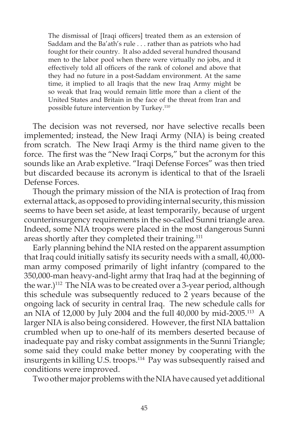The dismissal of [Iraqi officers] treated them as an extension of Saddam and the Ba'ath's rule . . . rather than as patriots who had fought for their country. It also added several hundred thousand men to the labor pool when there were virtually no jobs, and it effectively told all officers of the rank of colonel and above that they had no future in a post-Saddam environment. At the same time, it implied to all Iraqis that the new Iraq Army might be so weak that Iraq would remain little more than a client of the United States and Britain in the face of the threat from Iran and possible future intervention by Turkey.<sup>110</sup>

The decision was not reversed, nor have selective recalls been implemented; instead, the New Iraqi Army (NIA) is being created from scratch. The New Iraqi Army is the third name given to the force. The first was the "New Iraqi Corps," but the acronym for this sounds like an Arab expletive. "Iraqi Defense Forces" was then tried but discarded because its acronym is identical to that of the Israeli Defense Forces.

Though the primary mission of the NIA is protection of Iraq from external attack, as opposed to providing internal security, this mission seems to have been set aside, at least temporarily, because of urgent counterinsurgency requirements in the so-called Sunni triangle area. Indeed, some NIA troops were placed in the most dangerous Sunni areas shortly after they completed their training.<sup>111</sup>

Early planning behind the NIA rested on the apparent assumption that Iraq could initially satisfy its security needs with a small, 40,000 man army composed primarily of light infantry (compared to the 350,000-man heavy-and-light army that Iraq had at the beginning of the war.)<sup>112</sup> The NIA was to be created over a 3-year period, although this schedule was subsequently reduced to 2 years because of the ongoing lack of security in central Iraq. The new schedule calls for an NIA of 12,000 by July 2004 and the full 40,000 by mid-2005.113 A larger NIA is also being considered. However, the first NIA battalion crumbled when up to one-half of its members deserted because of inadequate pay and risky combat assignments in the Sunni Triangle; some said they could make better money by cooperating with the insurgents in killing U.S. troops.114 Pay was subsequently raised and conditions were improved.

Two other major problems with the NIA have caused yet additional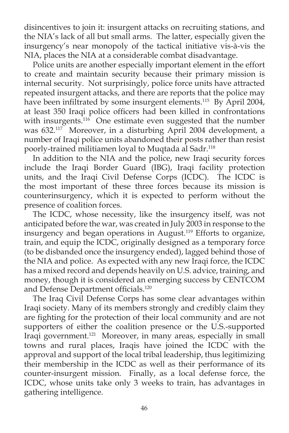disincentives to join it: insurgent attacks on recruiting stations, and the NIA's lack of all but small arms. The latter, especially given the insurgency's near monopoly of the tactical initiative vis-à-vis the NIA, places the NIA at a considerable combat disadvantage.

Police units are another especially important element in the effort to create and maintain security because their primary mission is internal security. Not surprisingly, police force units have attracted repeated insurgent attacks, and there are reports that the police may have been infiltrated by some insurgent elements.<sup>115</sup> By April 2004, at least 350 Iraqi police officers had been killed in confrontations with insurgents.<sup>116</sup> One estimate even suggested that the number was 632.117 Moreover, in a disturbing April 2004 development, a number of Iraqi police units abandoned their posts rather than resist poorly-trained militiamen loyal to Muqtada al Sadr.<sup>118</sup>

In addition to the NIA and the police, new Iraqi security forces include the Iraqi Border Guard (IBG), Iraqi facility protection units, and the Iraqi Civil Defense Corps (ICDC). The ICDC is the most important of these three forces because its mission is counterinsurgency, which it is expected to perform without the presence of coalition forces.

The ICDC, whose necessity, like the insurgency itself, was not anticipated before the war, was created in July 2003 in response to the insurgency and began operations in August.119 Efforts to organize, train, and equip the ICDC, originally designed as a temporary force (to be disbanded once the insurgency ended), lagged behind those of the NIA and police. As expected with any new Iraqi force, the ICDC has a mixed record and depends heavily on U.S. advice, training, and money, though it is considered an emerging success by CENTCOM and Defense Department officials.<sup>120</sup>

The Iraq Civil Defense Corps has some clear advantages within Iraqi society. Many of its members strongly and credibly claim they are fighting for the protection of their local community and are not supporters of either the coalition presence or the U.S.-supported Iraqi government.121 Moreover, in many areas, especially in small towns and rural places, Iraqis have joined the ICDC with the approval and support of the local tribal leadership, thus legitimizing their membership in the ICDC as well as their performance of its counter-insurgent mission. Finally, as a local defense force, the ICDC, whose units take only 3 weeks to train, has advantages in gathering intelligence.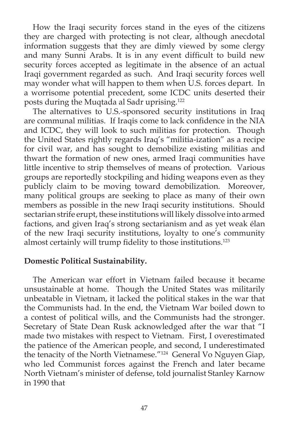How the Iraqi security forces stand in the eyes of the citizens they are charged with protecting is not clear, although anecdotal information suggests that they are dimly viewed by some clergy and many Sunni Arabs. It is in any event difficult to build new security forces accepted as legitimate in the absence of an actual Iraqi government regarded as such. And Iraqi security forces well may wonder what will happen to them when U.S. forces depart. In a worrisome potential precedent, some ICDC units deserted their posts during the Muqtada al Sadr uprising.122

The alternatives to U.S.-sponsored security institutions in Iraq are communal militias. If Iraqis come to lack confidence in the NIA and ICDC, they will look to such militias for protection. Though the United States rightly regards Iraq's "militia-ization" as a recipe for civil war, and has sought to demobilize existing militias and thwart the formation of new ones, armed Iraqi communities have little incentive to strip themselves of means of protection. Various groups are reportedly stockpiling and hiding weapons even as they publicly claim to be moving toward demobilization. Moreover, many political groups are seeking to place as many of their own members as possible in the new Iraqi security institutions. Should sectarian strife erupt, these institutions will likely dissolve into armed factions, and given Iraq's strong sectarianism and as yet weak élan of the new Iraqi security institutions, loyalty to one's community almost certainly will trump fidelity to those institutions.<sup>123</sup>

#### **Domestic Political Sustainability.**

The American war effort in Vietnam failed because it became unsustainable at home. Though the United States was militarily unbeatable in Vietnam, it lacked the political stakes in the war that the Communists had. In the end, the Vietnam War boiled down to a contest of political wills, and the Communists had the stronger. Secretary of State Dean Rusk acknowledged after the war that "I made two mistakes with respect to Vietnam. First, I overestimated the patience of the American people, and second, I underestimated the tenacity of the North Vietnamese."124 General Vo Nguyen Giap, who led Communist forces against the French and later became North Vietnam's minister of defense, told journalist Stanley Karnow in 1990 that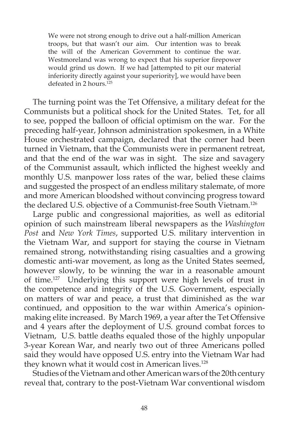We were not strong enough to drive out a half-million American troops, but that wasn't our aim. Our intention was to break the will of the American Government to continue the war. Westmoreland was wrong to expect that his superior firepower would grind us down. If we had [attempted to pit our material inferiority directly against your superiority], we would have been defeated in 2 hours.<sup>125</sup>

The turning point was the Tet Offensive, a military defeat for the Communists but a political shock for the United States. Tet, for all to see, popped the balloon of official optimism on the war. For the preceding half-year, Johnson administration spokesmen, in a White House orchestrated campaign, declared that the corner had been turned in Vietnam, that the Communists were in permanent retreat, and that the end of the war was in sight. The size and savagery of the Communist assault, which inflicted the highest weekly and monthly U.S. manpower loss rates of the war, belied these claims and suggested the prospect of an endless military stalemate, of more and more American bloodshed without convincing progress toward the declared U.S. objective of a Communist-free South Vietnam.<sup>126</sup>

Large public and congressional majorities, as well as editorial opinion of such mainstream liberal newspapers as the *Washington Post* and *New York Times*, supported U.S. military intervention in the Vietnam War, and support for staying the course in Vietnam remained strong, notwithstanding rising casualties and a growing domestic anti-war movement, as long as the United States seemed, however slowly, to be winning the war in a reasonable amount of time.127 Underlying this support were high levels of trust in the competence and integrity of the U.S. Government, especially on matters of war and peace, a trust that diminished as the war continued, and opposition to the war within America's opinionmaking elite increased. By March 1969, a year after the Tet Offensive and 4 years after the deployment of U.S. ground combat forces to Vietnam, U.S. battle deaths equaled those of the highly unpopular 3-year Korean War, and nearly two out of three Americans polled said they would have opposed U.S. entry into the Vietnam War had they known what it would cost in American lives.<sup>128</sup>

Studies of the Vietnam and other American wars of the 20th century reveal that, contrary to the post-Vietnam War conventional wisdom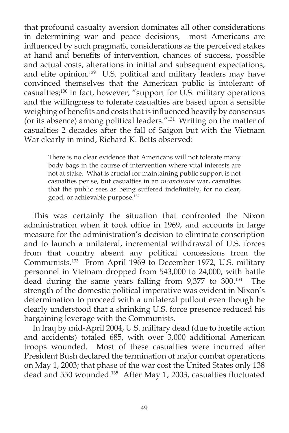that profound casualty aversion dominates all other considerations in determining war and peace decisions, most Americans are influenced by such pragmatic considerations as the perceived stakes at hand and benefits of intervention, chances of success, possible and actual costs, alterations in initial and subsequent expectations, and elite opinion.<sup>129</sup> U.S. political and military leaders may have convinced themselves that the American public is intolerant of casualties;<sup>130</sup> in fact, however, "support for U.S. military operations and the willingness to tolerate casualties are based upon a sensible weighing of benefits and costs that is influenced heavily by consensus (or its absence) among political leaders."131 Writing on the matter of casualties 2 decades after the fall of Saigon but with the Vietnam War clearly in mind, Richard K. Betts observed:

There is no clear evidence that Americans will not tolerate many body bags in the course of intervention where vital interests are not at stake. What is crucial for maintaining public support is not casualties per se, but casualties in an *inconclusive* war, casualties that the public sees as being suffered indefinitely, for no clear, good, or achievable purpose.132

This was certainly the situation that confronted the Nixon administration when it took office in 1969, and accounts in large measure for the administration's decision to eliminate conscription and to launch a unilateral, incremental withdrawal of U.S. forces from that country absent any political concessions from the Communists.133 From April 1969 to December 1972, U.S. military personnel in Vietnam dropped from 543,000 to 24,000, with battle dead during the same years falling from 9,377 to 300.134 The strength of the domestic political imperative was evident in Nixon's determination to proceed with a unilateral pullout even though he clearly understood that a shrinking U.S. force presence reduced his bargaining leverage with the Communists.

In Iraq by mid-April 2004, U.S. military dead (due to hostile action and accidents) totaled 685, with over 3,000 additional American troops wounded. Most of these casualties were incurred after President Bush declared the termination of major combat operations on May 1, 2003; that phase of the war cost the United States only 138 dead and 550 wounded.<sup>135</sup> After May 1, 2003, casualties fluctuated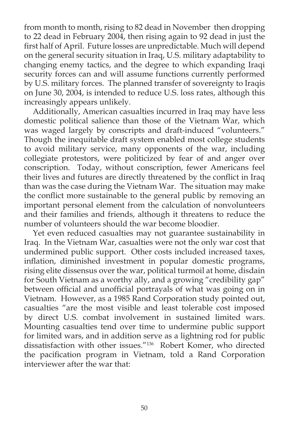from month to month, rising to 82 dead in November then dropping to 22 dead in February 2004, then rising again to 92 dead in just the first half of April. Future losses are unpredictable. Much will depend on the general security situation in Iraq, U.S. military adaptability to changing enemy tactics, and the degree to which expanding Iraqi security forces can and will assume functions currently performed by U.S. military forces. The planned transfer of sovereignty to Iraqis on June 30, 2004, is intended to reduce U.S. loss rates, although this increasingly appears unlikely.

Additionally, American casualties incurred in Iraq may have less domestic political salience than those of the Vietnam War, which was waged largely by conscripts and draft-induced "volunteers." Though the inequitable draft system enabled most college students to avoid military service, many opponents of the war, including collegiate protestors, were politicized by fear of and anger over conscription. Today, without conscription, fewer Americans feel their lives and futures are directly threatened by the conflict in Iraq than was the case during the Vietnam War. The situation may make the conflict more sustainable to the general public by removing an important personal element from the calculation of nonvolunteers and their families and friends, although it threatens to reduce the number of volunteers should the war become bloodier.

Yet even reduced casualties may not guarantee sustainability in Iraq. In the Vietnam War, casualties were not the only war cost that undermined public support. Other costs included increased taxes, inflation, diminished investment in popular domestic programs, rising elite dissensus over the war, political turmoil at home, disdain for South Vietnam as a worthy ally, and a growing "credibility gap" between official and unofficial portrayals of what was going on in Vietnam. However, as a 1985 Rand Corporation study pointed out, casualties "are the most visible and least tolerable cost imposed by direct U.S. combat involvement in sustained limited wars. Mounting casualties tend over time to undermine public support for limited wars, and in addition serve as a lightning rod for public dissatisfaction with other issues."136 Robert Komer, who directed the pacification program in Vietnam, told a Rand Corporation interviewer after the war that: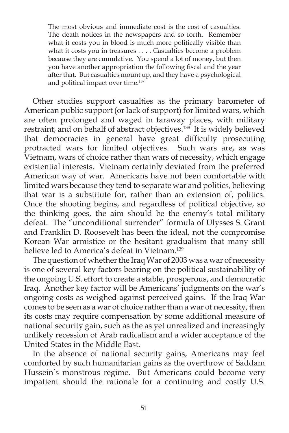The most obvious and immediate cost is the cost of casualties. The death notices in the newspapers and so forth. Remember what it costs you in blood is much more politically visible than what it costs you in treasures . . . . Casualties become a problem because they are cumulative. You spend a lot of money, but then you have another appropriation the following fiscal and the year after that. But casualties mount up, and they have a psychological and political impact over time.<sup>137</sup>

Other studies support casualties as the primary barometer of American public support (or lack of support) for limited wars, which are often prolonged and waged in faraway places, with military restraint, and on behalf of abstract objectives.<sup>138</sup> It is widely believed that democracies in general have great difficulty prosecuting protracted wars for limited objectives. Such wars are, as was Vietnam, wars of choice rather than wars of necessity, which engage existential interests. Vietnam certainly deviated from the preferred American way of war. Americans have not been comfortable with limited wars because they tend to separate war and politics, believing that war is a substitute for, rather than an extension of, politics. Once the shooting begins, and regardless of political objective, so the thinking goes, the aim should be the enemy's total military defeat. The "unconditional surrender" formula of Ulysses S. Grant and Franklin D. Roosevelt has been the ideal, not the compromise Korean War armistice or the hesitant gradualism that many still believe led to America's defeat in Vietnam.<sup>139</sup>

The question of whether the Iraq War of 2003 was a war of necessity is one of several key factors bearing on the political sustainability of the ongoing U.S. effort to create a stable, prosperous, and democratic Iraq. Another key factor will be Americans' judgments on the war's ongoing costs as weighed against perceived gains. If the Iraq War comes to be seen as a war of choice rather than a war of necessity, then its costs may require compensation by some additional measure of national security gain, such as the as yet unrealized and increasingly unlikely recession of Arab radicalism and a wider acceptance of the United States in the Middle East.

In the absence of national security gains, Americans may feel comforted by such humanitarian gains as the overthrow of Saddam Hussein's monstrous regime. But Americans could become very impatient should the rationale for a continuing and costly U.S.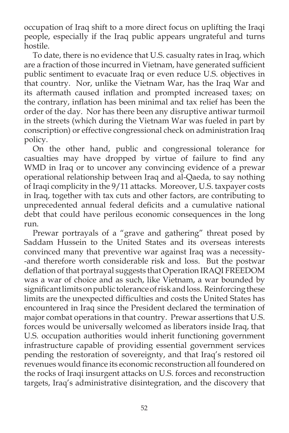occupation of Iraq shift to a more direct focus on uplifting the Iraqi people, especially if the Iraq public appears ungrateful and turns hostile.

To date, there is no evidence that U.S. casualty rates in Iraq, which are a fraction of those incurred in Vietnam, have generated sufficient public sentiment to evacuate Iraq or even reduce U.S. objectives in that country. Nor, unlike the Vietnam War, has the Iraq War and its aftermath caused inflation and prompted increased taxes; on the contrary, inflation has been minimal and tax relief has been the order of the day. Nor has there been any disruptive antiwar turmoil in the streets (which during the Vietnam War was fueled in part by conscription) or effective congressional check on administration Iraq policy.

On the other hand, public and congressional tolerance for casualties may have dropped by virtue of failure to find any WMD in Iraq or to uncover any convincing evidence of a prewar operational relationship between Iraq and al-Qaeda, to say nothing of Iraqi complicity in the 9/11 attacks. Moreover, U.S. taxpayer costs in Iraq, together with tax cuts and other factors, are contributing to unprecedented annual federal deficits and a cumulative national debt that could have perilous economic consequences in the long run.

Prewar portrayals of a "grave and gathering" threat posed by Saddam Hussein to the United States and its overseas interests convinced many that preventive war against Iraq was a necessity- -and therefore worth considerable risk and loss. But the postwar deflation of that portrayal suggests that Operation IRAQI FREEDOM was a war of choice and as such, like Vietnam, a war bounded by significant limits on public tolerance of risk and loss. Reinforcing these limits are the unexpected difficulties and costs the United States has encountered in Iraq since the President declared the termination of major combat operations in that country. Prewar assertions that U.S. forces would be universally welcomed as liberators inside Iraq, that U.S. occupation authorities would inherit functioning government infrastructure capable of providing essential government services pending the restoration of sovereignty, and that Iraq's restored oil revenues would finance its economic reconstruction all foundered on the rocks of Iraqi insurgent attacks on U.S. forces and reconstruction targets, Iraq's administrative disintegration, and the discovery that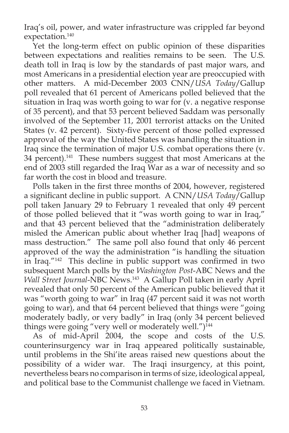Iraq's oil, power, and water infrastructure was crippled far beyond expectation.<sup>140</sup>

Yet the long-term effect on public opinion of these disparities between expectations and realities remains to be seen. The U.S. death toll in Iraq is low by the standards of past major wars, and most Americans in a presidential election year are preoccupied with other matters. A mid-December 2003 CNN/*USA Today*/Gallup poll revealed that 61 percent of Americans polled believed that the situation in Iraq was worth going to war for  $(v, a$  negative response of 35 percent), and that 53 percent believed Saddam was personally involved of the September 11, 2001 terrorist attacks on the United States (v. 42 percent). Sixty-five percent of those polled expressed approval of the way the United States was handling the situation in Iraq since the termination of major U.S. combat operations there (v. 34 percent).<sup>141</sup> These numbers suggest that most Americans at the end of 2003 still regarded the Iraq War as a war of necessity and so far worth the cost in blood and treasure.

Polls taken in the first three months of 2004, however, registered a significant decline in public support. A CNN/*USA Today*/Gallup poll taken January 29 to February 1 revealed that only 49 percent of those polled believed that it "was worth going to war in Iraq," and that 43 percent believed that the "administration deliberately misled the American public about whether Iraq [had] weapons of mass destruction." The same poll also found that only 46 percent approved of the way the administration "is handling the situation in Iraq."<sup>142</sup> This decline in public support was confirmed in two subsequent March polls by the *Washington Post*-ABC News and the *Wall Street Journal*-NBC News.143 A Gallup Poll taken in early April revealed that only 50 percent of the American public believed that it was "worth going to war" in Iraq (47 percent said it was not worth going to war), and that 64 percent believed that things were "going moderately badly, or very badly" in Iraq (only 34 percent believed things were going "very well or moderately well.")<sup>144</sup>

As of mid-April 2004, the scope and costs of the U.S. counterinsurgency war in Iraq appeared politically sustainable, until problems in the Shi'ite areas raised new questions about the possibility of a wider war. The Iraqi insurgency, at this point, nevertheless bears no comparison in terms of size, ideological appeal, and political base to the Communist challenge we faced in Vietnam.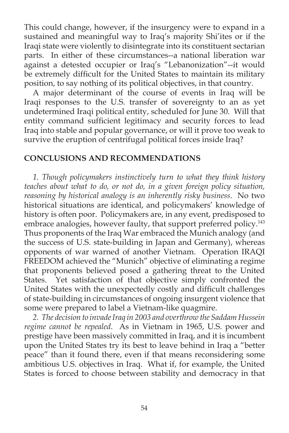This could change, however, if the insurgency were to expand in a sustained and meaningful way to Iraq's majority Shi'ites or if the Iraqi state were violently to disintegrate into its constituent sectarian parts. In either of these circumstances--a national liberation war against a detested occupier or Iraq's "Lebanonization"--it would be extremely difficult for the United States to maintain its military position, to say nothing of its political objectives, in that country.

A major determinant of the course of events in Iraq will be Iraqi responses to the U.S. transfer of sovereignty to an as yet undetermined Iraqi political entity, scheduled for June 30. Will that entity command sufficient legitimacy and security forces to lead Iraq into stable and popular governance, or will it prove too weak to survive the eruption of centrifugal political forces inside Iraq?

## **CONCLUSIONS AND RECOMMENDATIONS**

*1. Though policymakers instinctively turn to what they think history teaches about what to do, or not do, in a given foreign policy situation, reasoning by historical analogy is an inherently risky business*. No two historical situations are identical, and policymakers' knowledge of history is often poor. Policymakers are, in any event, predisposed to embrace analogies, however faulty, that support preferred policy.<sup>143</sup> Thus proponents of the Iraq War embraced the Munich analogy (and the success of U.S. state-building in Japan and Germany), whereas opponents of war warned of another Vietnam. Operation IRAQI FREEDOM achieved the "Munich" objective of eliminating a regime that proponents believed posed a gathering threat to the United States. Yet satisfaction of that objective simply confronted the United States with the unexpectedly costly and difficult challenges of state-building in circumstances of ongoing insurgent violence that some were prepared to label a Vietnam-like quagmire.

*2. The decision to invade Iraq in 2003 and overthrow the Saddam Hussein regime cannot be repealed*. As in Vietnam in 1965, U.S. power and prestige have been massively committed in Iraq, and it is incumbent upon the United States try its best to leave behind in Iraq a "better peace" than it found there, even if that means reconsidering some ambitious U.S. objectives in Iraq. What if, for example, the United States is forced to choose between stability and democracy in that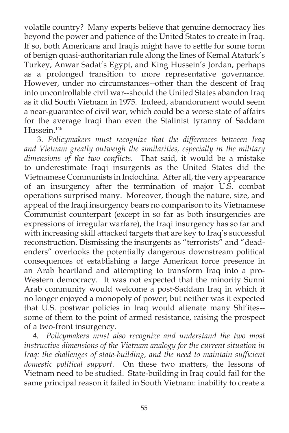volatile country? Many experts believe that genuine democracy lies beyond the power and patience of the United States to create in Iraq. If so, both Americans and Iraqis might have to settle for some form of benign quasi-authoritarian rule along the lines of Kemal Ataturk's Turkey, Anwar Sadat's Egypt, and King Hussein's Jordan, perhaps as a prolonged transition to more representative governance. However, under no circumstances--other than the descent of Iraq into uncontrollable civil war--should the United States abandon Iraq as it did South Vietnam in 1975. Indeed, abandonment would seem a near-guarantee of civil war, which could be a worse state of affairs for the average Iraqi than even the Stalinist tyranny of Saddam Hussein.146

3. *Policymakers must recognize that the differences between Iraq and Vietnam greatly outweigh the similarities, especially in the military*  dimensions of the two conflicts. That said, it would be a mistake to underestimate Iraqi insurgents as the United States did the Vietnamese Communists in Indochina. After all, the very appearance of an insurgency after the termination of major U.S. combat operations surprised many. Moreover, though the nature, size, and appeal of the Iraqi insurgency bears no comparison to its Vietnamese Communist counterpart (except in so far as both insurgencies are expressions of irregular warfare), the Iraqi insurgency has so far and with increasing skill attacked targets that are key to Iraq's successful reconstruction. Dismissing the insurgents as "terrorists" and "deadenders" overlooks the potentially dangerous downstream political consequences of establishing a large American force presence in an Arab heartland and attempting to transform Iraq into a pro-Western democracy. It was not expected that the minority Sunni Arab community would welcome a post-Saddam Iraq in which it no longer enjoyed a monopoly of power; but neither was it expected that U.S. postwar policies in Iraq would alienate many Shi'ites- some of them to the point of armed resistance, raising the prospect of a two-front insurgency.

*4. Policymakers must also recognize and understand the two most instructive dimensions of the Vietnam analogy for the current situation in*  Iraq: the challenges of state-building, and the need to maintain sufficient *domestic political support*. On these two matters, the lessons of Vietnam need to be studied. State-building in Iraq could fail for the same principal reason it failed in South Vietnam: inability to create a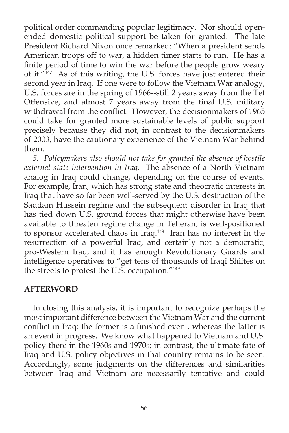political order commanding popular legitimacy. Nor should openended domestic political support be taken for granted. The late President Richard Nixon once remarked: "When a president sends American troops off to war, a hidden timer starts to run. He has a finite period of time to win the war before the people grow weary of it."<sup>147</sup> As of this writing, the U.S. forces have just entered their second year in Iraq. If one were to follow the Vietnam War analogy, U.S. forces are in the spring of 1966--still 2 years away from the Tet Offensive, and almost 7 years away from the final U.S. military withdrawal from the conflict. However, the decisionmakers of 1965 could take for granted more sustainable levels of public support precisely because they did not, in contrast to the decisionmakers of 2003, have the cautionary experience of the Vietnam War behind them.

*5. Policymakers also should not take for granted the absence of hostile external state intervention in Iraq.* The absence of a North Vietnam analog in Iraq could change, depending on the course of events. For example, Iran, which has strong state and theocratic interests in Iraq that have so far been well-served by the U.S. destruction of the Saddam Hussein regime and the subsequent disorder in Iraq that has tied down U.S. ground forces that might otherwise have been available to threaten regime change in Teheran, is well-positioned to sponsor accelerated chaos in Iraq.148 Iran has no interest in the resurrection of a powerful Iraq, and certainly not a democratic, pro-Western Iraq, and it has enough Revolutionary Guards and intelligence operatives to "get tens of thousands of Iraqi Shiites on the streets to protest the U.S. occupation."149

# **AFTERWORD**

In closing this analysis, it is important to recognize perhaps the most important difference between the Vietnam War and the current conflict in Iraq: the former is a finished event, whereas the latter is an event in progress. We know what happened to Vietnam and U.S. policy there in the 1960s and 1970s; in contrast, the ultimate fate of Iraq and U.S. policy objectives in that country remains to be seen. Accordingly, some judgments on the differences and similarities between Iraq and Vietnam are necessarily tentative and could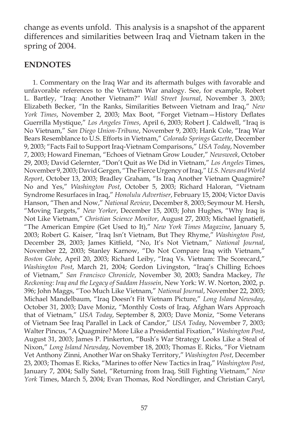change as events unfold. This analysis is a snapshot of the apparent differences and similarities between Iraq and Vietnam taken in the spring of 2004.

### **ENDNOTES**

1. Commentary on the Iraq War and its aftermath bulges with favorable and unfavorable references to the Vietnam War analogy. See, for example, Robert L. Bartley, "Iraq: Another Vietnam?" *Wall Street Journal*, November 3, 2003; Elizabeth Becker, "In the Ranks, Similarities Between Vietnam and Iraq," *New York Times*, November 2, 2003; Max Boot, "Forget Vietnam-History Deflates Guerrilla Mystique," *Los Angeles Times*, April 6, 2003; Robert J. Caldwell, "Iraq is No Vietnam," *San Diego Union-Tribune*, November 9, 2003; Hank Cole, "Iraq War Bears Resemblance to U.S. Efforts in Vietnam," *Colorado Springs Gazette*, December 9, 2003; "Facts Fail to Support Iraq-Vietnam Comparisons," *USA Today*, November 7, 2003; Howard Fineman, "Echoes of Vietnam Grow Louder," *Newsweek*, October 29, 2003; David Gelernter, "Don't Quit as We Did in Vietnam," *Los Angeles* Times, November 9, 2003; David Gergen, "The Fierce Urgency of Iraq," *U.S. News and World Report*, October 13, 2003; Bradley Graham, "Is Iraq Another Vietnam Quagmire? No and Yes," *Washington Post*, October 5, 2003; Richard Haloran, "Vietnam Syndrome Resurfaces in Iraq," *Honolulu Advertiser* , February 15, 2004; Victor Davis Hanson, "Then and Now," *National Review*, December 8, 2003; Seymour M. Hersh, "Moving Targets," *New Yorker*, December 15, 2003; John Hughes, "Why Iraq is Not Like Vietnam," *Christian Science Monitor* , August 27, 2003; Michael Ignatieff, "The American Empire (Get Used to It)," *New York Times Magazine*, January 5, 2003; Robert G. Kaiser, "Iraq Isn't Vietnam, But They Rhyme," *Washington Post*, December 28, 2003; James Kitfield, "No, It's Not Vietnam," National Journal, November 22, 2003; Stanley Karnow, "Do Not Compare Iraq with Vietnam," *Boston Globe*, April 20, 2003; Richard Leiby, "Iraq Vs. Vietnam: The Scorecard," *Washington Post*, March 21, 2004; Gordon Livingston, "Iraq's Chilling Echoes of Vietnam," *San Francisco Chronicle*, November 30, 2003; Sandra Mackey, *The Reckoning: Iraq and the Legacy of Saddam Hussein*, New York: W. W. Norton, 2002, p. 396; John Maggs, "Too Much Like Vietnam," *National Journal*, November 22, 2003; Michael Mandelbaum, "Iraq Doesn't Fit Vietnam Picture," *Long Island Newsday*, October 31, 2003; Dave Moniz, "Monthly Costs of Iraq, Afghan Wars Approach that of Vietnam," *USA Today*, September 8, 2003; Dave Moniz, "Some Veterans of Vietnam See Iraq Parallel in Lack of Candor," *USA Today*, November 7, 2003; Walter Pincus, "A Quagmire? More Like a Presidential Fixation," *Washington Post*, August 31, 2003; James P. Pinkerton, "Bush's War Strategy Looks Like a Steal of Nixon," *Long Island Newsday*, November 18, 2003; Thomas E. Ricks, "For Vietnam Vet Anthony Zinni, Another War on Shaky Territory," *Washington Post*, December 23, 2003; Thomas E. Ricks, "Marines to offer New Tactics in Iraq," *Washington Post*, January 7, 2004; Sally Satel, "Returning from Iraq, Still Fighting Vietnam," *New York* Times, March 5, 2004; Evan Thomas, Rod Nordlinger, and Christian Caryl,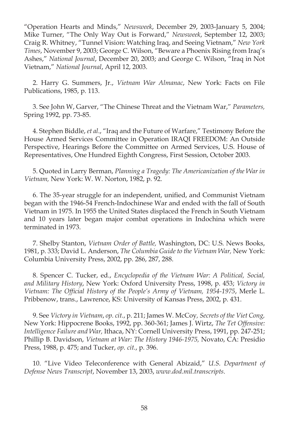"Operation Hearts and Minds," *Newsweek*, December 29, 2003-January 5, 2004; Mike Turner, "The Only Way Out is Forward," *Newsweek*, September 12, 2003; Craig R. Whitney, "Tunnel Vision: Watching Iraq, and Seeing Vietnam," *New York Times*, November 9, 2003; George C. Wilson, "Beware a Phoenix Rising from Iraq's Ashes," *National Journal*, December 20, 2003; and George C. Wilson, "Iraq in Not Vietnam," *National Journal*, April 12, 2003.

2. Harry G. Summers, Jr., *Vietnam War Almanac*, New York: Facts on File Publications, 1985, p. 113.

3. See John W, Garver, "The Chinese Threat and the Vietnam War," *Parameters,*  Spring 1992, pp. 73-85.

4. Stephen Biddle, *et al*., "Iraq and the Future of Warfare," Testimony Before the House Armed Services Committee in Operation IRAQI FREEDOM: An Outside Perspective, Hearings Before the Committee on Armed Services, U.S. House of Representatives, One Hundred Eighth Congress, First Session, October 2003.

5. Quoted in Larry Berman, *Planning a Tragedy: The Americanization of the War in Vietnam,* New York: W. W. Norton, 1982, p. 92.

6. The 35-year struggle for an independent, unified, and Communist Vietnam began with the 1946-54 French-Indochinese War and ended with the fall of South Vietnam in 1975. In 1955 the United States displaced the French in South Vietnam and 10 years later began major combat operations in Indochina which were terminated in 1973.

7. Shelby Stanton, *Vietnam Order of Battle,* Washington, DC: U.S. News Books, 1981, p. 333; David L. Anderson, *The Columbia Guide to the Vietnam War,* New York: Columbia University Press, 2002, pp. 286, 287, 288.

8. Spencer C. Tucker, ed., *Encyclopedia of the Vietnam War: A Political, Social, and Military History*, New York: Oxford University Press, 1998, p. 453; *Victory in Vietnam: The Official History of the People's Army of Vietnam, 1954-1975, Merle L.* Pribbenow, trans., Lawrence, KS: University of Kansas Press, 2002, p. 431.

9. See *Victory in Vietnam*, *op. cit.*, p. 211; James W. McCoy *, Secrets of the Viet Cong,* New York: Hippocrene Books, 1992, pp. 360-361; James J. Wirtz, *The Tet Offensive: Intelligence Failure and War,* Ithaca, NY: Cornell University Press, 1991, pp. 247-251; Phillip B. Davidson, *Vietnam at War: The History 1946-1975,* Novato, CA: Presidio Press, 1988, p. 475; and Tucker, *op. cit.*, p. 396.

10. "Live Video Teleconference with General Abizaid," *U.S. Department of Defense News Transcript*, November 13, 2003, *www.dod.mil.transcripts*.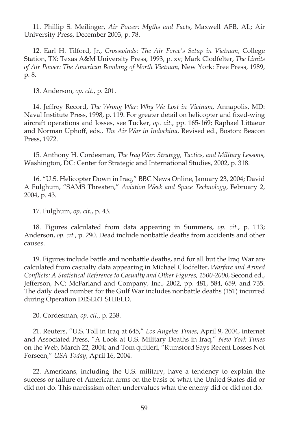11. Phillip S. Meilinger, *Air Power: Myths and Facts*, Maxwell AFB, AL; Air University Press, December 2003, p. 78.

12. Earl H. Tilford, Jr., *Crosswinds: The Air Force's Setup in Vietnam*, College Station, TX: Texas A&M University Press, 1993, p. xv; Mark Clodfelter, *The Limits of Air Power: The American Bombing of North Vietnam,* New York: Free Press, 1989, p. 8.

13. Anderson, *op. cit.*, p. 201.

14. Jeffrey Record, *The Wrong War: Why We Lost in Vietnam,* Annapolis, MD: Naval Institute Press, 1998, p. 119. For greater detail on helicopter and fixed-wing aircraft operations and losses, see Tucker, *op. cit.*, pp. 165-169; Raphael Littaeur and Norman Uphoff, eds., *The Air War in Indochina*, Revised ed., Boston: Beacon Press, 1972.

15. Anthony H. Cordesman, *The Iraq War: Strategy, Tactics, and Military Lessons,*  Washington, DC: Center for Strategic and International Studies, 2002, p. 318.

16. "U.S. Helicopter Down in Iraq," BBC News Online, January 23, 2004; David A Fulghum, "SAMS Threaten," *Aviation Week and Space Technology*, February 2, 2004, p. 43.

17. Fulghum, *op. cit.*, p. 43.

18. Figures calculated from data appearing in Summers, *op. cit.*, p. 113; Anderson, *op. cit.*, p. 290. Dead include nonbattle deaths from accidents and other causes.

19. Figures include battle and nonbattle deaths, and for all but the Iraq War are calculated from casualty data appearing in Michael Clodfelter, *Warfare and Armed Conflicts: A Statistical Reference to Casualty and Other Figures, 1500-2000, Second ed.,* Jefferson, NC: McFarland and Company, Inc., 2002, pp. 481, 584, 659, and 735. The daily dead number for the Gulf War includes nonbattle deaths (151) incurred during Operation DESERT SHIELD.

20. Cordesman, *op. cit.*, p. 238.

21. Reuters, "U.S. Toll in Iraq at 645," *Los Angeles Times*, April 9, 2004, internet and Associated Press, "A Look at U.S. Military Deaths in Iraq," *New York Times*  on the Web, March 22, 2004; and Tom quitieri, "Rumsford Says Recent Losses Not Forseen," *USA Today*, April 16, 2004.

22. Americans, including the U.S. military, have a tendency to explain the success or failure of American arms on the basis of what the United States did or did not do. This narcissism often undervalues what the enemy did or did not do.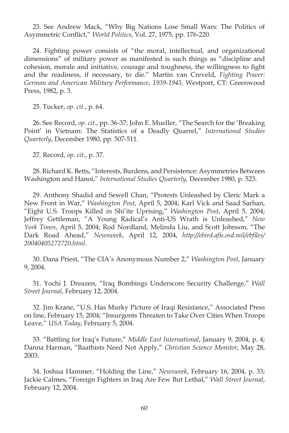23. See Andrew Mack, "Why Big Nations Lose Small Wars: The Politics of Asymmetric Conflict," *World Politics*, Vol. 27, 1975, pp. 176-220.

24. Fighting power consists of "the moral, intellectual, and organizational dimensions" of military power as manifested is such things as "discipline and cohesion, morale and initiative, courage and toughness, the willingness to fight and the readiness, if necessary, to die." Martin van Creveld, *Fighting Power: German and American Military Performance, 1939-1945,* Westport, CT: Greenwood Press, 1982, p. 3.

25. Tucker, *op. cit.*, p. 64.

26. See Record, *op. cit.*, pp. 36-37; John E. Mueller, "The Search for the 'Breaking Point' in Vietnam: The Statistics of a Deadly Quarrel," *International Studies Quarterly*, December 1980, pp. 507-511.

27. Record, *op. cit.*, p. 37.

28. Richard K. Betts, "Interests, Burdens, and Persistence: Asymmetries Between Washington and Hanoi," *International Studies Quarterly,* December 1980, p. 523.

29. Anthony Shadid and Sewell Chan, "Protests Unleashed by Cleric Mark a New Front in War," *Washington Post*, April 5, 2004; Karl Vick and Saad Sarhan, "Eight U.S. Troops Killed in Shi'ite Uprising," *Washington Post*, April 5, 2004; Jeffrey Gettleman, "A Young Radical's Anti-US Wrath is Unleashed," *New York Times*, April 5, 2004; Rod Nordland, Melinda Liu, and Scott Johnson, "The Dark Road Ahead," *Newsweek*, April 12, 2004, *http://ebird.afis.osd.mil/ebfiles/ 20040405272720.html*.

30. Dana Priest, "The CIA's Anonymous Number 2," *Washington Post*, January 9, 2004.

31. Yochi J. Dreazen, "Iraq Bombings Underscore Security Challenge," *Wall Street Journal*, February 12, 2004.

32. Jim Krane, "U.S. Has Murky Picture of Iraqi Resistance," Associated Press on line, February 15, 2004; "Insurgents Threaten to Take Over Cities When Troops Leave," *USA Today*, February 5, 2004.

33. "Battling for Iraq's Future," *Middle East International*, January 9, 2004, p. 4; Danna Harman, "Baathists Need Not Apply," Christian Science Monitor, May 28, 2003.

34. Joshua Hammer, "Holding the Line," *Newsweek*, February 16, 2004, p. 33; Jackie Calmes, "Foreign Fighters in Iraq Are Few But Lethal," *Wall Street Journal*, February 12, 2004.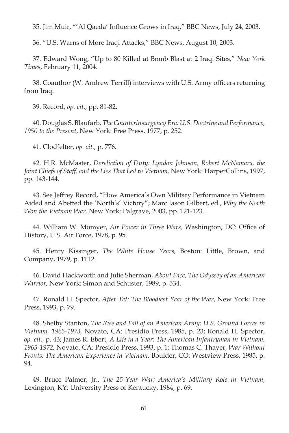35. Jim Muir, "'Al Qaeda' Influence Grows in Iraq," BBC News, July 24, 2003.

36. "U.S. Warns of More Iraqi Attacks," BBC News, August 10, 2003.

37. Edward Wong, "Up to 80 Killed at Bomb Blast at 2 Iraqi Sites," *New York Times*, February 11, 2004.

38. Coauthor (W. Andrew Terrill) interviews with U.S. Army officers returning from Iraq.

39. Record, *op. cit.*, pp. 81-82.

40. Douglas S. Blaufarb, *The Counterinsurgency Era: U.S. Doctrine and Performance, 1950 to the Present*, New York: Free Press, 1977, p. 252.

41. Clodfelter, *op. cit.*, p. 776.

42. H.R. McMaster, *Dereliction of Duty: Lyndon Johnson, Robert McNamara, the*  Joint Chiefs of Staff, and the Lies That Led to Vietnam, New York: HarperCollins, 1997, pp. 143-144.

43. See Jeffrey Record, "How America's Own Military Performance in Vietnam Aided and Abetted the 'North's' Victory"; Marc Jason Gilbert, ed., *Why the North Won the Vietnam War,* New York: Palgrave, 2003, pp. 121-123.

44. William W. Momyer, *Air Power in Three Wars*, Washington, DC: Office of History, U.S. Air Force, 1978, p. 95.

45. Henry Kissinger, *The White House Years,* Boston: Little, Brown, and Company, 1979, p. 1112.

46. David Hackworth and Julie Sherman, *About Face, The Odyssey of an American Warrior,* New York: Simon and Schuster, 1989, p. 534.

47. Ronald H. Spector, After Tet: The Bloodiest Year of the War, New York: Free Press, 1993, p. 79.

48. Shelby Stanton, *The Rise and Fall of an American Army: U.S. Ground Forces in Vietnam, 1965-1973,* Novato, CA: Presidio Press, 1985, p. 23; Ronald H. Spector, *op. cit.*, p. 43; James R. Ebert, *A Life in a Year: The American Infantryman in Vietnam, 1965-1972,* Novato, CA: Presidio Press, 1993, p. 1; Thomas C. Thayer, *War Without Fronts: The American Experience in Vietnam,* Boulder, CO: Westview Press, 1985, p. 94.

49. Bruce Palmer, Jr., *The 25-Year War: America's Military Role in Vietnam*, Lexington, KY: University Press of Kentucky, 1984, p. 69.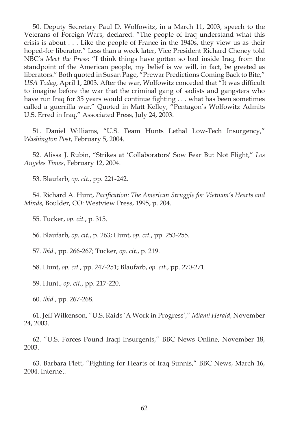50. Deputy Secretary Paul D. Wolfowitz, in a March 11, 2003, speech to the Veterans of Foreign Wars, declared: "The people of Iraq understand what this crisis is about . . . Like the people of France in the 1940s, they view us as their hoped-for liberator." Less than a week later, Vice President Richard Cheney told NBC's *Meet the Press*: "I think things have gotten so bad inside Iraq, from the standpoint of the American people, my belief is we will, in fact, be greeted as liberators." Both quoted in Susan Page, "Prewar Predictions Coming Back to Bite," *USA Today*, April 1, 2003. After the war, Wolfowitz conceded that "It was difficult to imagine before the war that the criminal gang of sadists and gangsters who have run Iraq for 35 years would continue fighting  $\ldots$  what has been sometimes called a guerrilla war." Quoted in Matt Kelley, "Pentagon's Wolfowitz Admits U.S. Erred in Iraq," Associated Press, July 24, 2003.

51. Daniel Williams, "U.S. Team Hunts Lethal Low-Tech Insurgency," *Washington Post*, February 5, 2004.

52. Alissa J. Rubin, "Strikes at 'Collaborators' Sow Fear But Not Flight," *Los Angeles Times*, February 12, 2004.

53. Blaufarb, *op. cit.*, pp. 221-242.

54. Richard A. Hunt, *Pacification: The American Struggle for Vietnam's Hearts and Minds*, Boulder, CO: Westview Press, 1995, p. 204.

55. Tucker, *op. cit.*, p. 315.

56. Blaufarb, *op. cit.*, p. 263; Hunt, *op. cit.*, pp. 253-255.

57. *Ibid*., pp. 266-267; Tucker, *op. cit.*, p. 219.

58. Hunt, *op. cit.*, pp. 247-251; Blaufarb, *op. cit.*, pp. 270-271.

59. Hunt., *op. cit.*, pp. 217-220.

60. *Ibid*., pp. 267-268.

61. Jeff Wilkenson, "U.S. Raids 'A Work in Progress'," *Miami Herald*, November 24, 2003.

62. "U.S. Forces Pound Iraqi Insurgents," BBC News Online, November 18, 2003.

63. Barbara Plett, "Fighting for Hearts of Iraq Sunnis," BBC News, March 16, 2004. Internet.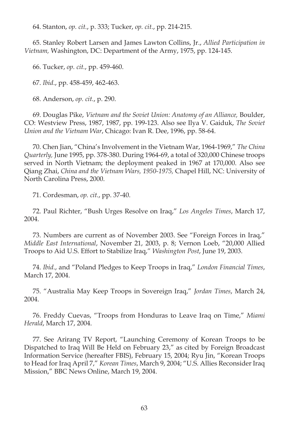64. Stanton, *op. cit.*, p. 333; Tucker, *op. cit.*, pp. 214-215.

65. Stanley Robert Larsen and James Lawton Collins, Jr., *Allied Participation in Vietnam,* Washington, DC: Department of the Army, 1975, pp. 124-145.

66. Tucker, *op. cit.*, pp. 459-460.

67. *Ibid*., pp. 458-459, 462-463.

68. Anderson, *op. cit.*, p. 290.

69. Douglas Pike, *Vietnam and the Soviet Union: Anatomy of an Alliance,* Boulder, CO: Westview Press, 1987, 1987, pp. 199-123. Also see Ilya V. Gaiduk, *The Soviet Union and the Vietnam War*, Chicago: Ivan R. Dee, 1996, pp. 58-64.

70. Chen Jian, "China's Involvement in the Vietnam War, 1964-1969," *The China Quarterly,* June 1995, pp. 378-380. During 1964-69, a total of 320,000 Chinese troops served in North Vietnam; the deployment peaked in 1967 at 170,000. Also see Qiang Zhai, *China and the Vietnam Wars, 1950-1975,* Chapel Hill, NC: University of North Carolina Press, 2000.

71. Cordesman, *op. cit.*, pp. 37-40.

72. Paul Richter, "Bush Urges Resolve on Iraq," *Los Angeles Times*, March 17, 2004.

73. Numbers are current as of November 2003. See "Foreign Forces in Iraq," *Middle East International*, November 21, 2003, p. 8; Vernon Loeb, "20,000 Allied Troops to Aid U.S. Effort to Stabilize Iraq," *Washington Post*, June 19, 2003.

74. *Ibid*., and "Poland Pledges to Keep Troops in Iraq," *London Financial Times*, March 17, 2004.

75. "Australia May Keep Troops in Sovereign Iraq," *Jordan Times*, March 24, 2004.

76. Freddy Cuevas, "Troops from Honduras to Leave Iraq on Time," *Miami Herald*, March 17, 2004.

77. See Arirang TV Report, "Launching Ceremony of Korean Troops to be Dispatched to Iraq Will Be Held on February 23," as cited by Foreign Broadcast Information Service (hereafter FBIS), February 15, 2004; Ryu Jin, "Korean Troops to Head for Iraq April 7," *Korean Times*, March 9, 2004; "U.S. Allies Reconsider Iraq Mission," BBC News Online, March 19, 2004.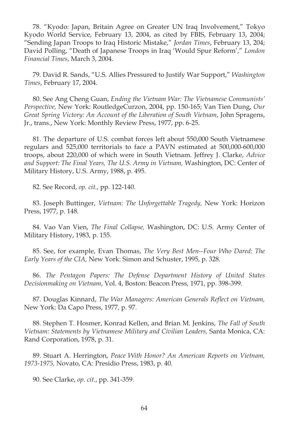78. "Kyodo: Japan, Britain Agree on Greater UN Iraq Involvement," Tokyo Kyodo World Service, February 13, 2004, as cited by FBIS, February 13, 2004; "Sending Japan Troops to Iraq Historic Mistake," *Jordan Times*, February 13, 204; David Polling, "Death of Japanese Troops in Iraq 'Would Spur Reform'," *London Financial Times*, March 3, 2004.

79. David R. Sands, "U.S. Allies Pressured to Justify War Support," *Washington Times*, February 17, 2004.

80. See Ang Cheng Guan, *Ending the Vietnam War: The Vietnamese Communists' Perspective,* New York: RoutledgeCurzon, 2004, pp. 150-165; Van Tien Dung, *Our Great Spring Victory: An Account of the Liberation of South Vietnam*, John Spragens, Jr., trans., New York: Monthly Review Press, 1977, pp. 6-25.

81. The departure of U.S. combat forces left about 550,000 South Vietnamese regulars and 525,000 territorials to face a PAVN estimated at 500,000-600,000 troops, about 220,000 of which were in South Vietnam. Jeffrey J. Clarke, *Advice and Support: The Final Years, The U.S. Army in Vietnam,* Washington, DC: Center of Military History, U.S. Army, 1988, p. 495.

82. See Record, *op. cit.*, pp. 122-140.

83. Joseph Buttinger, *Vietnam: The Unforgettable Tragedy,* New York: Horizon Press, 1977, p. 148.

84. Vao Van Vien, *The Final Collapse,* Washington, DC: U.S. Army Center of Military History, 1983, p. 155.

85. See, for example, Evan Thomas, *The Very Best Men--Four Who Dared: The Early Years of the CIA,* New York: Simon and Schuster, 1995, p. 328.

86. *The Pentagon Papers: The Defense Department History of United States Decisionmaking on Vietnam*, Vol. 4, Boston: Beacon Press, 1971, pp. 398-399.

87. Douglas Kinnard, *The War Managers: American Generals Reflect on Vietnam*, New York: Da Capo Press, 1977, p. 97.

88. Stephen T. Hosmer, Konrad Kellen, and Brian M. Jenkins, *The Fall of South Vietnam: Statements by Vietnamese Military and Civilian Leaders,* Santa Monica, CA: Rand Corporation, 1978, p. 31.

89. Stuart A. Herrington, *Peace With Honor? An American Reports on Vietnam, 1973-1975,* Novato, CA: Presidio Press, 1983, p. 40.

90. See Clarke, *op. cit.*, pp. 341-359.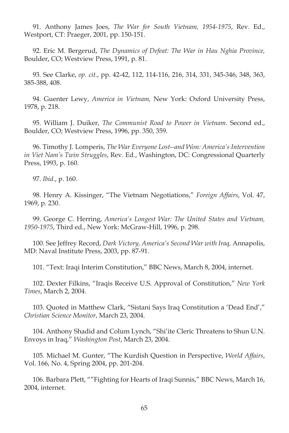91. Anthony James Joes, *The War for South Vietnam, 1954-1975*, Rev. Ed., Westport, CT: Praeger, 2001, pp. 150-151.

92. Eric M. Bergerud, *The Dynamics of Defeat: The War in Hau Nghia Province,*  Boulder, CO; Westview Press, 1991, p. 81.

93. See Clarke, *op. cit.*, pp. 42-42, 112, 114-116, 216, 314, 331, 345-346, 348, 363, 385-388, 408.

94. Guenter Lewy, *America in Vietnam,* New York: Oxford University Press, 1978, p. 218.

95. William J. Duiker, *The Communist Road to Power in Vietnam*. Second ed., Boulder, CO; Westview Press, 1996, pp. 350, 359.

96. Timothy J. Lomperis, *The War Everyone Lost--and Won: America's Intervention in Viet Nam's Twin Struggles*, Rev. Ed., Washington, DC: Congressional Quarterly Press, 1993, p. 160.

97. *Ibid*., p. 160.

98. Henry A. Kissinger, "The Vietnam Negotiations," *Foreign Affairs*, Vol. 47, 1969, p. 230.

99. George C. Herring, *America's Longest War: The United States and Vietnam, 1950-1975*, Third ed., New York: McGraw-Hill, 1996, p. 298.

100. See Jeffrey Record, *Dark Victory, America's Second War with Iraq,* Annapolis, MD: Naval Institute Press, 2003, pp. 87-91.

101. "Text: Iraqi Interim Constitution," BBC News, March 8, 2004, internet.

102. Dexter Filkins, "Iraqis Receive U.S. Approval of Constitution," *New York Times*, March 2, 2004.

103. Quoted in Matthew Clark, "Sistani Says Iraq Constitution a 'Dead End'," *Christian Science Monitor*, March 23, 2004.

104. Anthony Shadid and Colum Lynch, "Shi'ite Cleric Threatens to Shun U.N. Envoys in Iraq," *Washington Post*, March 23, 2004.

105. Michael M. Gunter, "The Kurdish Question in Perspective, *World Affairs*, Vol. 166, No. 4, Spring 2004, pp. 201-204.

106. Barbara Plett, ""Fighting for Hearts of Iraqi Sunnis," BBC News, March 16, 2004, internet.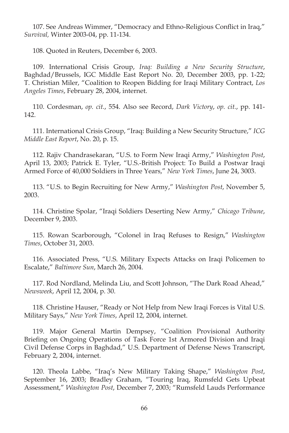107. See Andreas Wimmer, "Democracy and Ethno-Religious Conflict in Iraq," *Survival,* Winter 2003-04, pp. 11-134.

108. Quoted in Reuters, December 6, 2003.

109. International Crisis Group, *Iraq: Building a New Security Structure*, Baghdad/Brussels, IGC Middle East Report No. 20, December 2003, pp. 1-22; T. Christian Miler, "Coalition to Reopen Bidding for Iraqi Military Contract, *Los Angeles Times*, February 28, 2004, internet.

110. Cordesman, *op. cit.*, 554. Also see Record, *Dark Victory*, *op. cit.*, pp. 141- 142.

111. International Crisis Group, "Iraq: Building a New Security Structure," *ICG Middle East Report*, No. 20, p. 15.

112. Rajiv Chandrasekaran, "U.S. to Form New Iraqi Army," *Washington Post*, April 13, 2003; Patrick E. Tyler, "U.S.-British Project: To Build a Postwar Iraqi Armed Force of 40,000 Soldiers in Three Years," *New York Times*, June 24, 3003.

113. "U.S. to Begin Recruiting for New Army," *Washington Post*, November 5, 2003.

114. Christine Spolar, "Iraqi Soldiers Deserting New Army," *Chicago Tribune*, December 9, 2003.

115. Rowan Scarborough, "Colonel in Iraq Refuses to Resign," *Washington Times*, October 31, 2003.

116. Associated Press, "U.S. Military Expects Attacks on Iraqi Policemen to Escalate," *Baltimore Sun*, March 26, 2004.

117. Rod Nordland, Melinda Liu, and Scott Johnson, "The Dark Road Ahead," *Newsweek*, April 12, 2004, p. 30.

118. Christine Hauser, "Ready or Not Help from New Iraqi Forces is Vital U.S. Military Says," *New York Times*, April 12, 2004, internet.

119. Major General Martin Dempsey, "Coalition Provisional Authority Briefing on Ongoing Operations of Task Force 1st Armored Division and Iraqi Civil Defense Corps in Baghdad," U.S. Department of Defense News Transcript, February 2, 2004, internet.

120. Theola Labbe, "Iraq's New Military Taking Shape," *Washington Post*, September 16, 2003; Bradley Graham, "Touring Iraq, Rumsfeld Gets Upbeat Assessment," *Washington Post*, December 7, 2003; "Rumsfeld Lauds Performance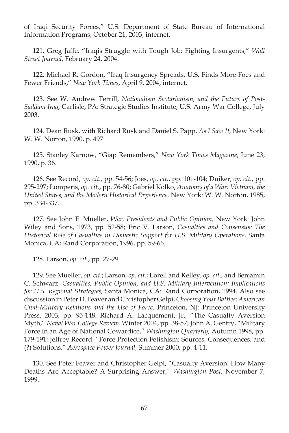of Iraqi Security Forces," U.S. Department of State Bureau of International Information Programs, October 21, 2003, internet.

121. Greg Jaffe, "Iraqis Struggle with Tough Job: Fighting Insurgents," *Wall Street Journal*, February 24, 2004.

122. Michael R. Gordon, "Iraq Insurgency Spreads, U.S. Finds More Foes and Fewer Friends," *New York Times*, April 9, 2004, internet.

123. See W. Andrew Terrill, *Nationalism Sectarianism, and the Future of Post-Saddam Iraq*, Carlisle, PA: Strategic Studies Institute, U.S. Army War College, July 2003.

124. Dean Rusk, with Richard Rusk and Daniel S. Papp, *As I Saw It,* New York: W. W. Norton, 1990, p. 497.

125. Stanley Karnow, "Giap Remembers," *New York Times Magazine*, June 23, 1990, p. 36.

126. See Record, *op. cit.*, pp. 54-56; Joes, *op. cit.*, pp. 101-104; Duiker, *op. cit.*, pp. 295-297; Lomperis, *op. cit.*, pp. 76-80; Gabriel Kolko, *Anatomy of a War: Vietnam, the United States, and the Modern Historical Experience,* New York: W. W. Norton, 1985, pp. 334-337.

127. See John E. Mueller, *War, Presidents and Public Opinion,* New York: John Wiley and Sons, 1973, pp. 52-58; Eric V. Larson, *Casualties and Consensus: The Historical Role of Casualties in Domestic Support for U.S. Military Operations, Santa* Monica, CA; Rand Corporation, 1996, pp. 59-66.

128. Larson, *op. cit.*, pp. 27-29.

129. See Mueller, *op. cit.*; Larson, *op. cit.*; Lorell and Kelley, *op. cit*., and Benjamin C. Schwarz, *Casualties, Public Opinion, and U.S. Military Intervention: Implications for U.S. Regional Strategies,* Santa Monica, CA: Rand Corporation, 1994. Also see discussion in Peter D. Feaver and Christopher Gelpi, *Choosing Your Battles: American Civil-Military Relations and the Use of Force,* Princeton, NJ: Princeton University Press, 2003, pp. 95-148; Richard A. Lacquement, Jr., "The Casualty Aversion Myth," *Naval War College Review,* Winter 2004, pp. 38-57; John A. Gentry, "Military Force in an Age of National Cowardice," *Washington Quarterly,* Autumn 1998, pp. 179-191; Jeffrey Record, "Force Protection Fetishism: Sources, Consequences, and (?) Solutions," *Aerospace Power Journal*, Summer 2000, pp. 4-11.

130. See Peter Feaver and Christopher Gelpi, "Casualty Aversion: How Many Deaths Are Acceptable? A Surprising Answer," *Washington Post*, November 7, 1999.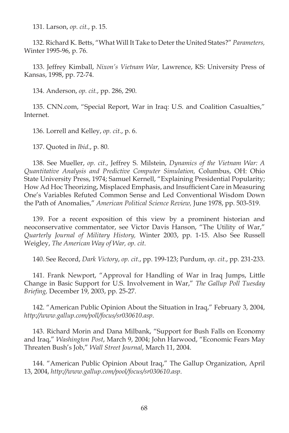131. Larson, *op. cit.*, p. 15.

132. Richard K. Betts, "What Will It Take to Deter the United States?" *Parameters,*  Winter 1995-96, p. 76.

133. Jeffrey Kimball, *Nixon's Vietnam War,* Lawrence, KS: University Press of Kansas, 1998, pp. 72-74.

134. Anderson, *op. cit.*, pp. 286, 290.

135. CNN.com, "Special Report, War in Iraq: U.S. and Coalition Casualties," Internet.

136. Lorrell and Kelley, *op. cit.*, p. 6.

137. Quoted in *Ibid*., p. 80.

138. See Mueller, *op. cit.*, Jeffrey S. Milstein, *Dynamics of the Vietnam War: A Quantitative Analysis and Predictive Computer Simulation,* Columbus, OH: Ohio State University Press, 1974; Samuel Kernell, "Explaining Presidential Popularity; How Ad Hoc Theorizing, Misplaced Emphasis, and Insufficient Care in Measuring One's Variables Refuted Common Sense and Led Conventional Wisdom Down the Path of Anomalies," *American Political Science Review,* June 1978, pp. 503-519.

139. For a recent exposition of this view by a prominent historian and neoconservative commentator, see Victor Davis Hanson, "The Utility of War," *Quarterly Journal of Military History,* Winter 2003, pp. 1-15. Also See Russell Weigley, *The American Way of War, op. cit*.

140. See Record, *Dark Victory*, *op. cit.*, pp. 199-123; Purdum, *op. cit.*, pp. 231-233.

141. Frank Newport, "Approval for Handling of War in Iraq Jumps, Little Change in Basic Support for U.S. Involvement in War," *The Gallup Poll Tuesday Briefi ng,* December 19, 2003, pp. 25-27.

142. "American Public Opinion About the Situation in Iraq," February 3, 2004, *http://www.gallup.com/poll/focus/sr030610.asp*.

143. Richard Morin and Dana Milbank, "Support for Bush Falls on Economy and Iraq," *Washington Post*, March 9, 2004; John Harwood, "Economic Fears May Threaten Bush's Job," *Wall Street Journal*, March 11, 2004.

144. "American Public Opinion About Iraq," The Gallup Organization, April 13, 2004, *http://www.gallup.com/pool/focus/sr030610.asp*.